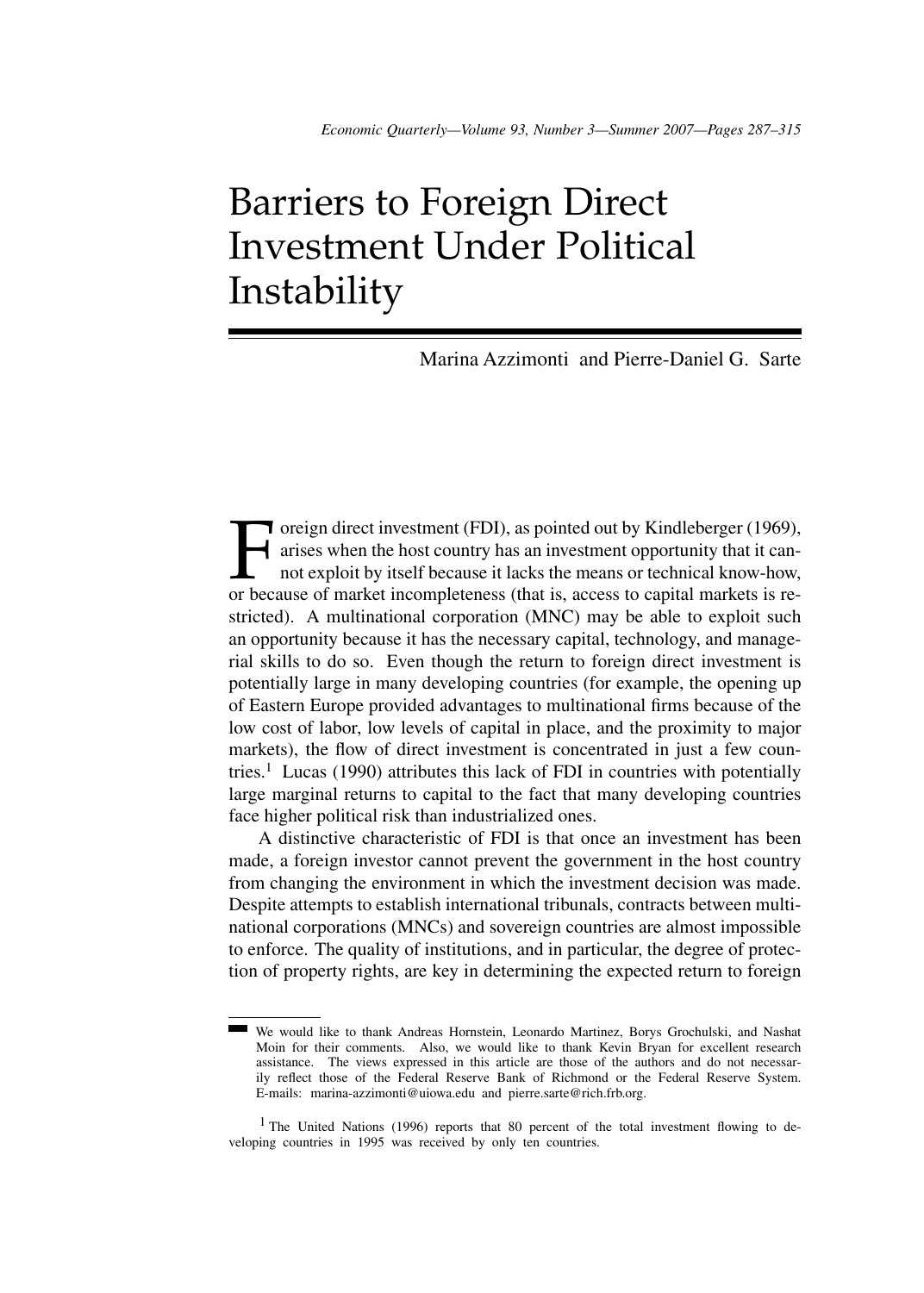# Barriers to Foreign Direct Investment Under Political Instability

Marina Azzimonti and Pierre-Daniel G. Sarte

Foreign direct investment (FDI), as pointed out by Kindleberger (1969),<br>arises when the host country has an investment opportunity that it can-<br>not exploit by itself because it lacks the means or technical know-how,<br>or bec arises when the host country has an investment opportunity that it cannot exploit by itself because it lacks the means or technical know-how, or because of market incompleteness (that is, access to capital markets is restricted). A multinational corporation (MNC) may be able to exploit such an opportunity because it has the necessary capital, technology, and managerial skills to do so. Even though the return to foreign direct investment is potentially large in many developing countries (for example, the opening up of Eastern Europe provided advantages to multinational firms because of the low cost of labor, low levels of capital in place, and the proximity to major markets), the flow of direct investment is concentrated in just a few countries.<sup>1</sup> Lucas (1990) attributes this lack of FDI in countries with potentially large marginal returns to capital to the fact that many developing countries face higher political risk than industrialized ones.

A distinctive characteristic of FDI is that once an investment has been made, a foreign investor cannot prevent the government in the host country from changing the environment in which the investment decision was made. Despite attempts to establish international tribunals, contracts between multinational corporations (MNCs) and sovereign countries are almost impossible to enforce. The quality of institutions, and in particular, the degree of protection of property rights, are key in determining the expected return to foreign

We would like to thank Andreas Hornstein, Leonardo Martinez, Borys Grochulski, and Nashat Moin for their comments. Also, we would like to thank Kevin Bryan for excellent research assistance. The views expressed in this article are those of the authors and do not necessarily reflect those of the Federal Reserve Bank of Richmond or the Federal Reserve System. E-mails: marina-azzimonti@uiowa.edu and pierre.sarte@rich.frb.org.

<sup>&</sup>lt;sup>1</sup> The United Nations (1996) reports that 80 percent of the total investment flowing to developing countries in 1995 was received by only ten countries.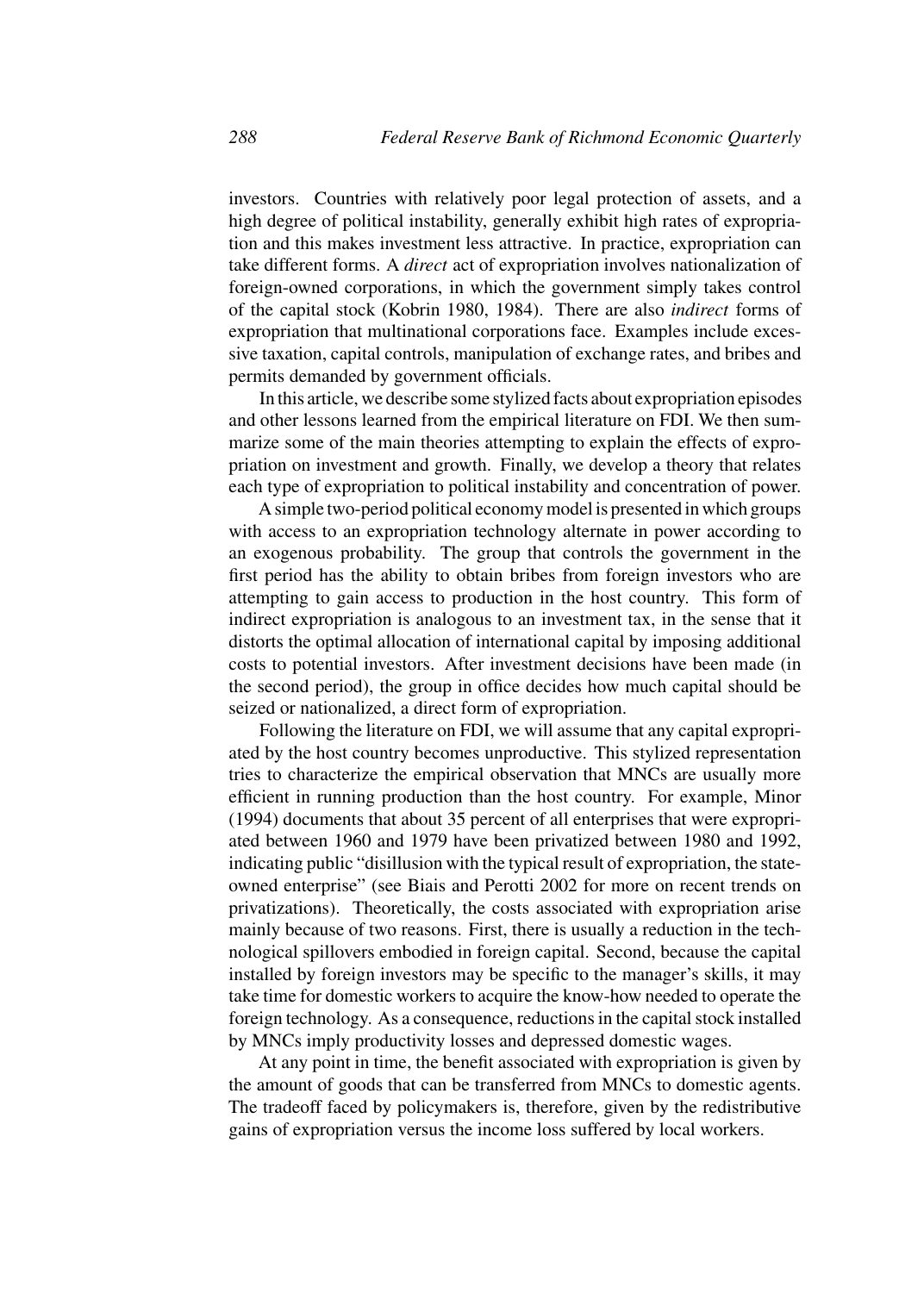investors. Countries with relatively poor legal protection of assets, and a high degree of political instability, generally exhibit high rates of expropriation and this makes investment less attractive. In practice, expropriation can take different forms. A *direct* act of expropriation involves nationalization of foreign-owned corporations, in which the government simply takes control of the capital stock (Kobrin 1980, 1984). There are also *indirect* forms of expropriation that multinational corporations face. Examples include excessive taxation, capital controls, manipulation of exchange rates, and bribes and permits demanded by government officials.

In this article, we describe some stylized facts about expropriation episodes and other lessons learned from the empirical literature on FDI. We then summarize some of the main theories attempting to explain the effects of expropriation on investment and growth. Finally, we develop a theory that relates each type of expropriation to political instability and concentration of power.

A simple two-period political economy model is presented in which groups with access to an expropriation technology alternate in power according to an exogenous probability. The group that controls the government in the first period has the ability to obtain bribes from foreign investors who are attempting to gain access to production in the host country. This form of indirect expropriation is analogous to an investment tax, in the sense that it distorts the optimal allocation of international capital by imposing additional costs to potential investors. After investment decisions have been made (in the second period), the group in office decides how much capital should be seized or nationalized, a direct form of expropriation.

Following the literature on FDI, we will assume that any capital expropriated by the host country becomes unproductive. This stylized representation tries to characterize the empirical observation that MNCs are usually more efficient in running production than the host country. For example, Minor (1994) documents that about 35 percent of all enterprises that were expropriated between 1960 and 1979 have been privatized between 1980 and 1992, indicating public "disillusion with the typical result of expropriation, the stateowned enterprise" (see Biais and Perotti 2002 for more on recent trends on privatizations). Theoretically, the costs associated with expropriation arise mainly because of two reasons. First, there is usually a reduction in the technological spillovers embodied in foreign capital. Second, because the capital installed by foreign investors may be specific to the manager's skills, it may take time for domestic workers to acquire the know-how needed to operate the foreign technology. As a consequence, reductions in the capital stock installed by MNCs imply productivity losses and depressed domestic wages.

At any point in time, the benefit associated with expropriation is given by the amount of goods that can be transferred from MNCs to domestic agents. The tradeoff faced by policymakers is, therefore, given by the redistributive gains of expropriation versus the income loss suffered by local workers.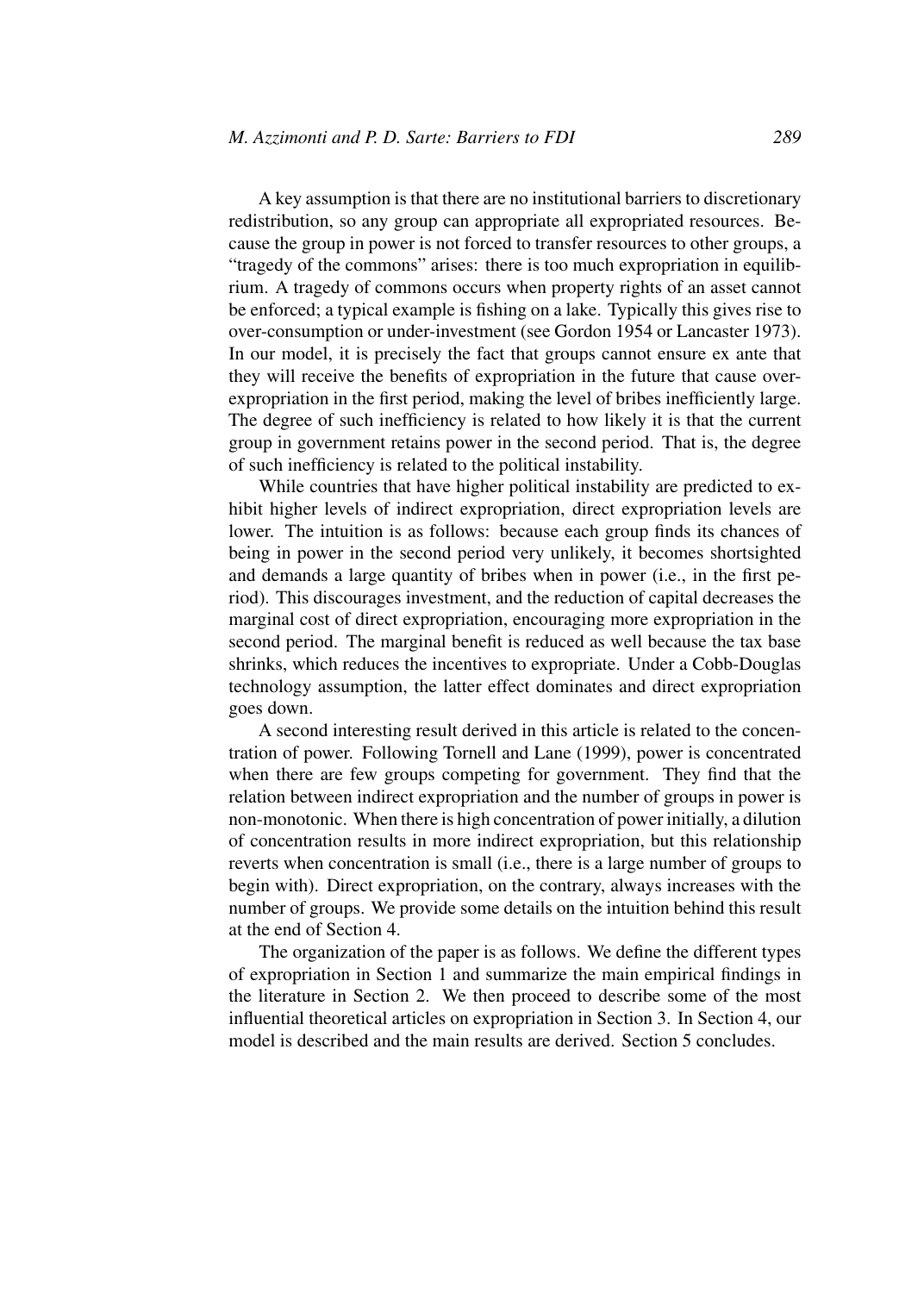A key assumption is that there are no institutional barriers to discretionary redistribution, so any group can appropriate all expropriated resources. Because the group in power is not forced to transfer resources to other groups, a "tragedy of the commons" arises: there is too much expropriation in equilibrium. A tragedy of commons occurs when property rights of an asset cannot be enforced; a typical example is fishing on a lake. Typically this gives rise to over-consumption or under-investment (see Gordon 1954 or Lancaster 1973). In our model, it is precisely the fact that groups cannot ensure ex ante that they will receive the benefits of expropriation in the future that cause overexpropriation in the first period, making the level of bribes inefficiently large. The degree of such inefficiency is related to how likely it is that the current group in government retains power in the second period. That is, the degree of such inefficiency is related to the political instability.

While countries that have higher political instability are predicted to exhibit higher levels of indirect expropriation, direct expropriation levels are lower. The intuition is as follows: because each group finds its chances of being in power in the second period very unlikely, it becomes shortsighted and demands a large quantity of bribes when in power (i.e., in the first period). This discourages investment, and the reduction of capital decreases the marginal cost of direct expropriation, encouraging more expropriation in the second period. The marginal benefit is reduced as well because the tax base shrinks, which reduces the incentives to expropriate. Under a Cobb-Douglas technology assumption, the latter effect dominates and direct expropriation goes down.

A second interesting result derived in this article is related to the concentration of power. Following Tornell and Lane (1999), power is concentrated when there are few groups competing for government. They find that the relation between indirect expropriation and the number of groups in power is non-monotonic. When there is high concentration of power initially, a dilution of concentration results in more indirect expropriation, but this relationship reverts when concentration is small (i.e., there is a large number of groups to begin with). Direct expropriation, on the contrary, always increases with the number of groups. We provide some details on the intuition behind this result at the end of Section 4.

The organization of the paper is as follows. We define the different types of expropriation in Section 1 and summarize the main empirical findings in the literature in Section 2. We then proceed to describe some of the most influential theoretical articles on expropriation in Section 3. In Section 4, our model is described and the main results are derived. Section 5 concludes.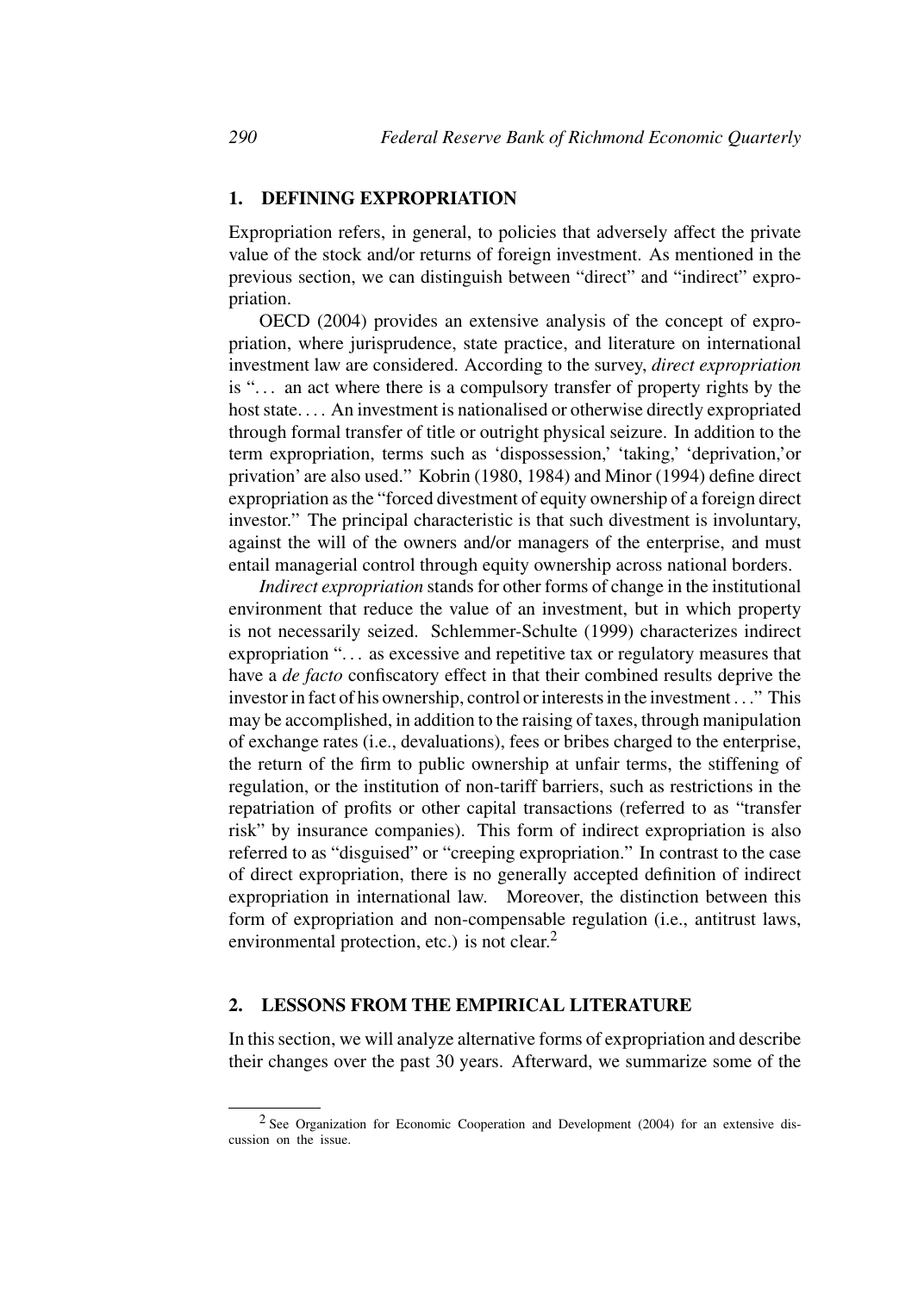## **1. DEFINING EXPROPRIATION**

Expropriation refers, in general, to policies that adversely affect the private value of the stock and/or returns of foreign investment. As mentioned in the previous section, we can distinguish between "direct" and "indirect" expropriation.

OECD (2004) provides an extensive analysis of the concept of expropriation, where jurisprudence, state practice, and literature on international investment law are considered. According to the survey, *direct expropriation* is ". . . an act where there is a compulsory transfer of property rights by the host state.... An investment is nationalised or otherwise directly expropriated through formal transfer of title or outright physical seizure. In addition to the term expropriation, terms such as 'dispossession,' 'taking,' 'deprivation,'or privation' are also used." Kobrin (1980, 1984) and Minor (1994) define direct expropriation as the "forced divestment of equity ownership of a foreign direct investor." The principal characteristic is that such divestment is involuntary, against the will of the owners and/or managers of the enterprise, and must entail managerial control through equity ownership across national borders.

*Indirect expropriation* stands for other forms of change in the institutional environment that reduce the value of an investment, but in which property is not necessarily seized. Schlemmer-Schulte (1999) characterizes indirect expropriation ". . . as excessive and repetitive tax or regulatory measures that have a *de facto* confiscatory effect in that their combined results deprive the investor in fact of his ownership, control or interests in the investment . . ." This may be accomplished, in addition to the raising of taxes, through manipulation of exchange rates (i.e., devaluations), fees or bribes charged to the enterprise, the return of the firm to public ownership at unfair terms, the stiffening of regulation, or the institution of non-tariff barriers, such as restrictions in the repatriation of profits or other capital transactions (referred to as "transfer risk" by insurance companies). This form of indirect expropriation is also referred to as "disguised" or "creeping expropriation." In contrast to the case of direct expropriation, there is no generally accepted definition of indirect expropriation in international law. Moreover, the distinction between this form of expropriation and non-compensable regulation (i.e., antitrust laws, environmental protection, etc.) is not clear.<sup>2</sup>

# **2. LESSONS FROM THE EMPIRICAL LITERATURE**

In this section, we will analyze alternative forms of expropriation and describe their changes over the past 30 years. Afterward, we summarize some of the

<sup>2</sup> See Organization for Economic Cooperation and Development (2004) for an extensive discussion on the issue.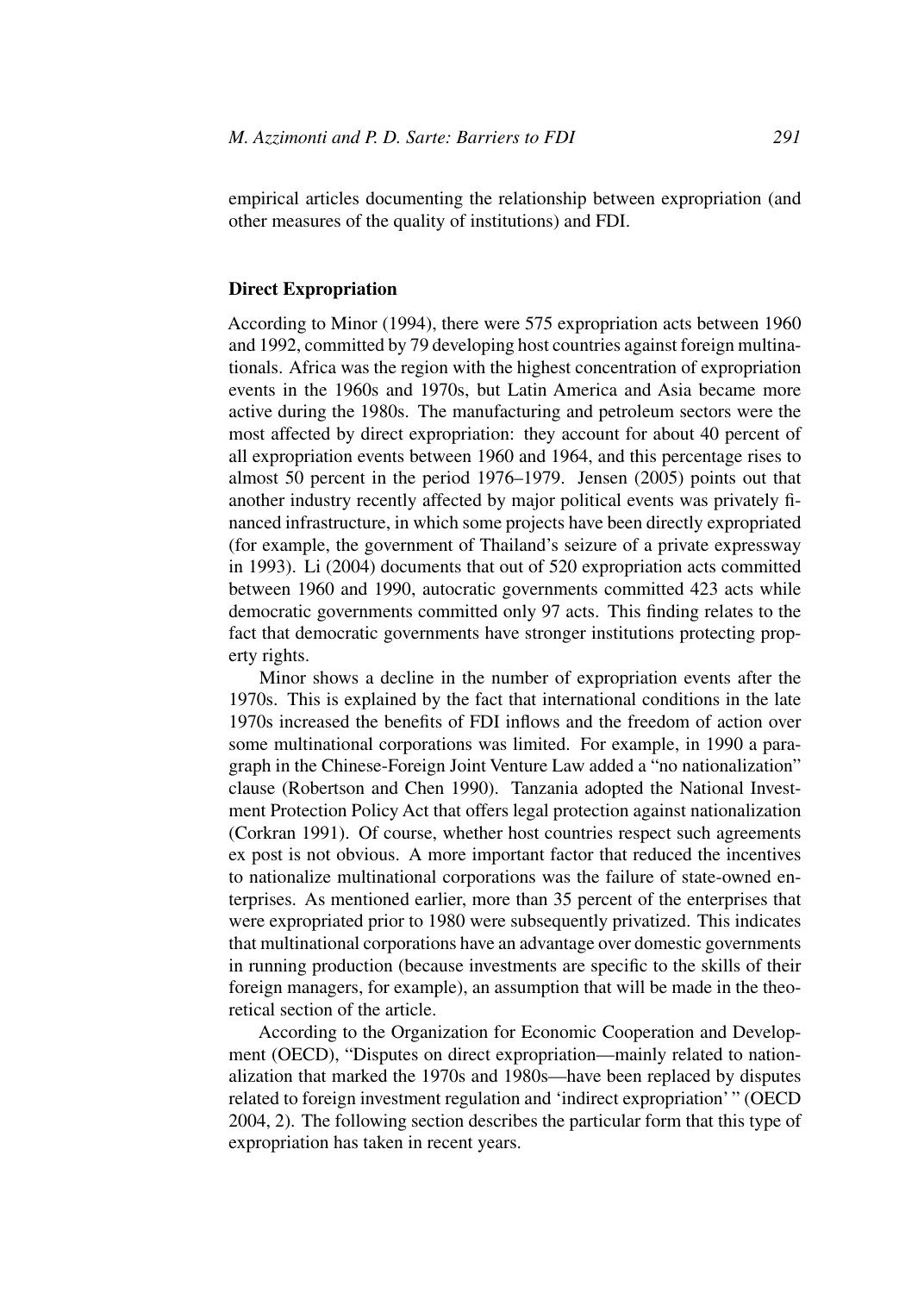empirical articles documenting the relationship between expropriation (and other measures of the quality of institutions) and FDI.

#### **Direct Expropriation**

According to Minor (1994), there were 575 expropriation acts between 1960 and 1992, committed by 79 developing host countries against foreign multinationals. Africa was the region with the highest concentration of expropriation events in the 1960s and 1970s, but Latin America and Asia became more active during the 1980s. The manufacturing and petroleum sectors were the most affected by direct expropriation: they account for about 40 percent of all expropriation events between 1960 and 1964, and this percentage rises to almost 50 percent in the period 1976–1979. Jensen (2005) points out that another industry recently affected by major political events was privately financed infrastructure, in which some projects have been directly expropriated (for example, the government of Thailand's seizure of a private expressway in 1993). Li (2004) documents that out of 520 expropriation acts committed between 1960 and 1990, autocratic governments committed 423 acts while democratic governments committed only 97 acts. This finding relates to the fact that democratic governments have stronger institutions protecting property rights.

Minor shows a decline in the number of expropriation events after the 1970s. This is explained by the fact that international conditions in the late 1970s increased the benefits of FDI inflows and the freedom of action over some multinational corporations was limited. For example, in 1990 a paragraph in the Chinese-Foreign Joint Venture Law added a "no nationalization" clause (Robertson and Chen 1990). Tanzania adopted the National Investment Protection Policy Act that offers legal protection against nationalization (Corkran 1991). Of course, whether host countries respect such agreements ex post is not obvious. A more important factor that reduced the incentives to nationalize multinational corporations was the failure of state-owned enterprises. As mentioned earlier, more than 35 percent of the enterprises that were expropriated prior to 1980 were subsequently privatized. This indicates that multinational corporations have an advantage over domestic governments in running production (because investments are specific to the skills of their foreign managers, for example), an assumption that will be made in the theoretical section of the article.

According to the Organization for Economic Cooperation and Development (OECD), "Disputes on direct expropriation—mainly related to nationalization that marked the 1970s and 1980s—have been replaced by disputes related to foreign investment regulation and 'indirect expropriation' " (OECD 2004, 2). The following section describes the particular form that this type of expropriation has taken in recent years.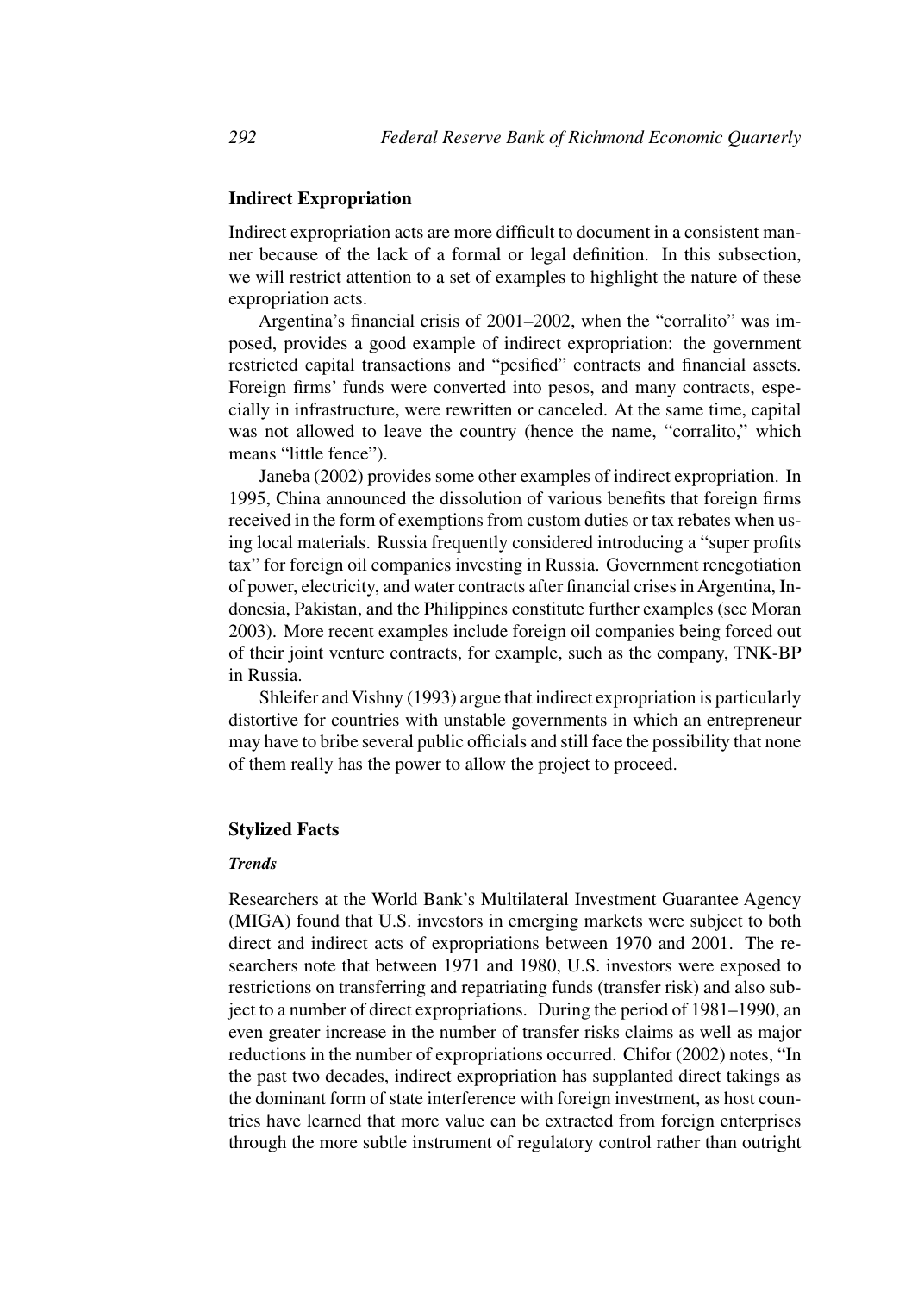## **Indirect Expropriation**

Indirect expropriation acts are more difficult to document in a consistent manner because of the lack of a formal or legal definition. In this subsection, we will restrict attention to a set of examples to highlight the nature of these expropriation acts.

Argentina's financial crisis of 2001–2002, when the "corralito" was imposed, provides a good example of indirect expropriation: the government restricted capital transactions and "pesified" contracts and financial assets. Foreign firms' funds were converted into pesos, and many contracts, especially in infrastructure, were rewritten or canceled. At the same time, capital was not allowed to leave the country (hence the name, "corralito," which means "little fence").

Janeba (2002) provides some other examples of indirect expropriation. In 1995, China announced the dissolution of various benefits that foreign firms received in the form of exemptions from custom duties or tax rebates when using local materials. Russia frequently considered introducing a "super profits tax" for foreign oil companies investing in Russia. Government renegotiation of power, electricity, and water contracts after financial crises in Argentina, Indonesia, Pakistan, and the Philippines constitute further examples (see Moran 2003). More recent examples include foreign oil companies being forced out of their joint venture contracts, for example, such as the company, TNK-BP in Russia.

Shleifer and Vishny (1993) argue that indirect expropriation is particularly distortive for countries with unstable governments in which an entrepreneur may have to bribe several public officials and still face the possibility that none of them really has the power to allow the project to proceed.

# **Stylized Facts**

#### *Trends*

Researchers at the World Bank's Multilateral Investment Guarantee Agency (MIGA) found that U.S. investors in emerging markets were subject to both direct and indirect acts of expropriations between 1970 and 2001. The researchers note that between 1971 and 1980, U.S. investors were exposed to restrictions on transferring and repatriating funds (transfer risk) and also subject to a number of direct expropriations. During the period of 1981–1990, an even greater increase in the number of transfer risks claims as well as major reductions in the number of expropriations occurred. Chifor (2002) notes, "In the past two decades, indirect expropriation has supplanted direct takings as the dominant form of state interference with foreign investment, as host countries have learned that more value can be extracted from foreign enterprises through the more subtle instrument of regulatory control rather than outright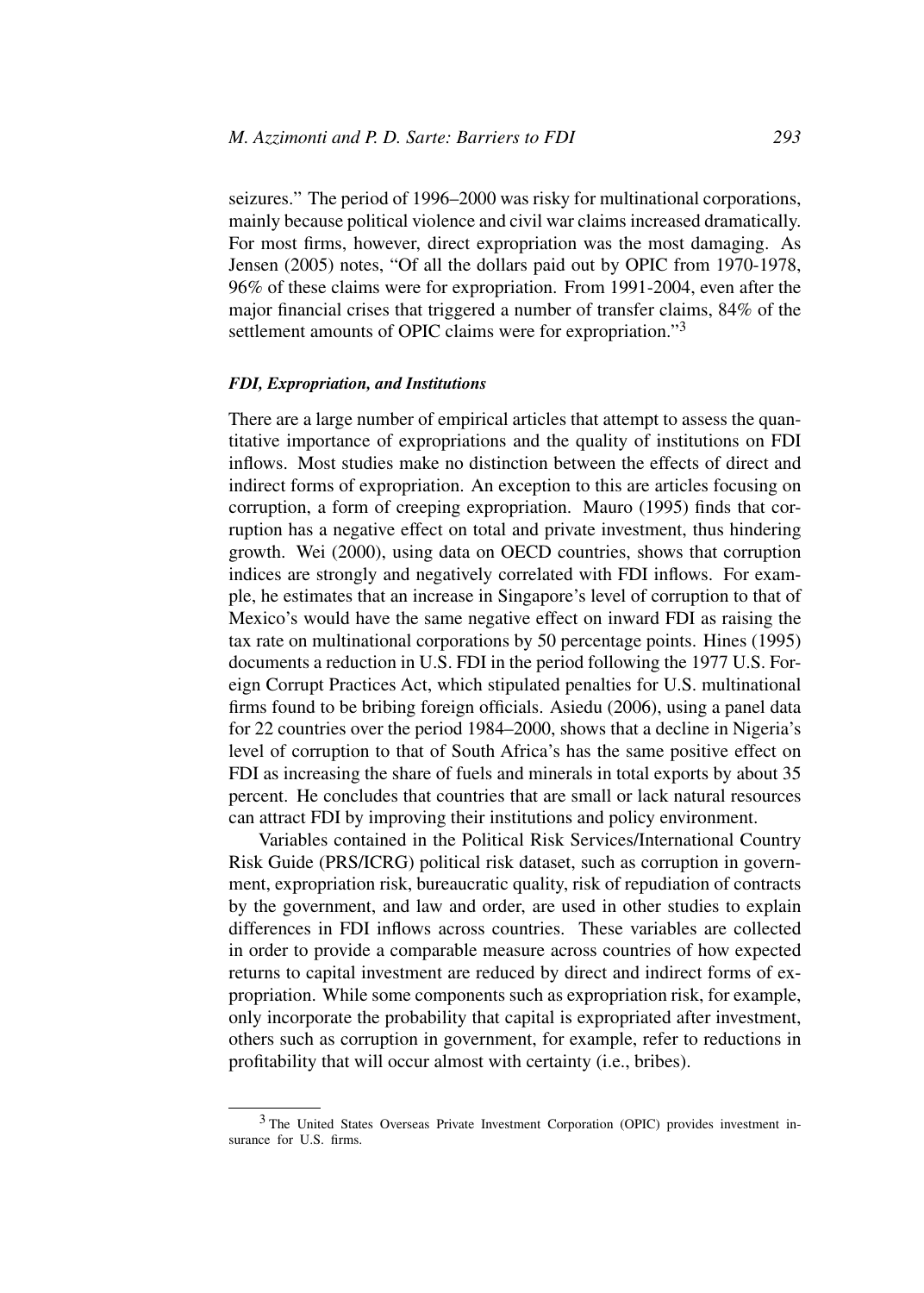seizures." The period of 1996–2000 was risky for multinational corporations, mainly because political violence and civil war claims increased dramatically. For most firms, however, direct expropriation was the most damaging. As Jensen (2005) notes, "Of all the dollars paid out by OPIC from 1970-1978, 96% of these claims were for expropriation. From 1991-2004, even after the major financial crises that triggered a number of transfer claims, 84% of the settlement amounts of OPIC claims were for expropriation."<sup>3</sup>

#### *FDI, Expropriation, and Institutions*

There are a large number of empirical articles that attempt to assess the quantitative importance of expropriations and the quality of institutions on FDI inflows. Most studies make no distinction between the effects of direct and indirect forms of expropriation. An exception to this are articles focusing on corruption, a form of creeping expropriation. Mauro (1995) finds that corruption has a negative effect on total and private investment, thus hindering growth. Wei (2000), using data on OECD countries, shows that corruption indices are strongly and negatively correlated with FDI inflows. For example, he estimates that an increase in Singapore's level of corruption to that of Mexico's would have the same negative effect on inward FDI as raising the tax rate on multinational corporations by 50 percentage points. Hines (1995) documents a reduction in U.S. FDI in the period following the 1977 U.S. Foreign Corrupt Practices Act, which stipulated penalties for U.S. multinational firms found to be bribing foreign officials. Asiedu (2006), using a panel data for 22 countries over the period 1984–2000, shows that a decline in Nigeria's level of corruption to that of South Africa's has the same positive effect on FDI as increasing the share of fuels and minerals in total exports by about 35 percent. He concludes that countries that are small or lack natural resources can attract FDI by improving their institutions and policy environment.

Variables contained in the Political Risk Services/International Country Risk Guide (PRS/ICRG) political risk dataset, such as corruption in government, expropriation risk, bureaucratic quality, risk of repudiation of contracts by the government, and law and order, are used in other studies to explain differences in FDI inflows across countries. These variables are collected in order to provide a comparable measure across countries of how expected returns to capital investment are reduced by direct and indirect forms of expropriation. While some components such as expropriation risk, for example, only incorporate the probability that capital is expropriated after investment, others such as corruption in government, for example, refer to reductions in profitability that will occur almost with certainty (i.e., bribes).

<sup>3</sup> The United States Overseas Private Investment Corporation (OPIC) provides investment insurance for U.S. firms.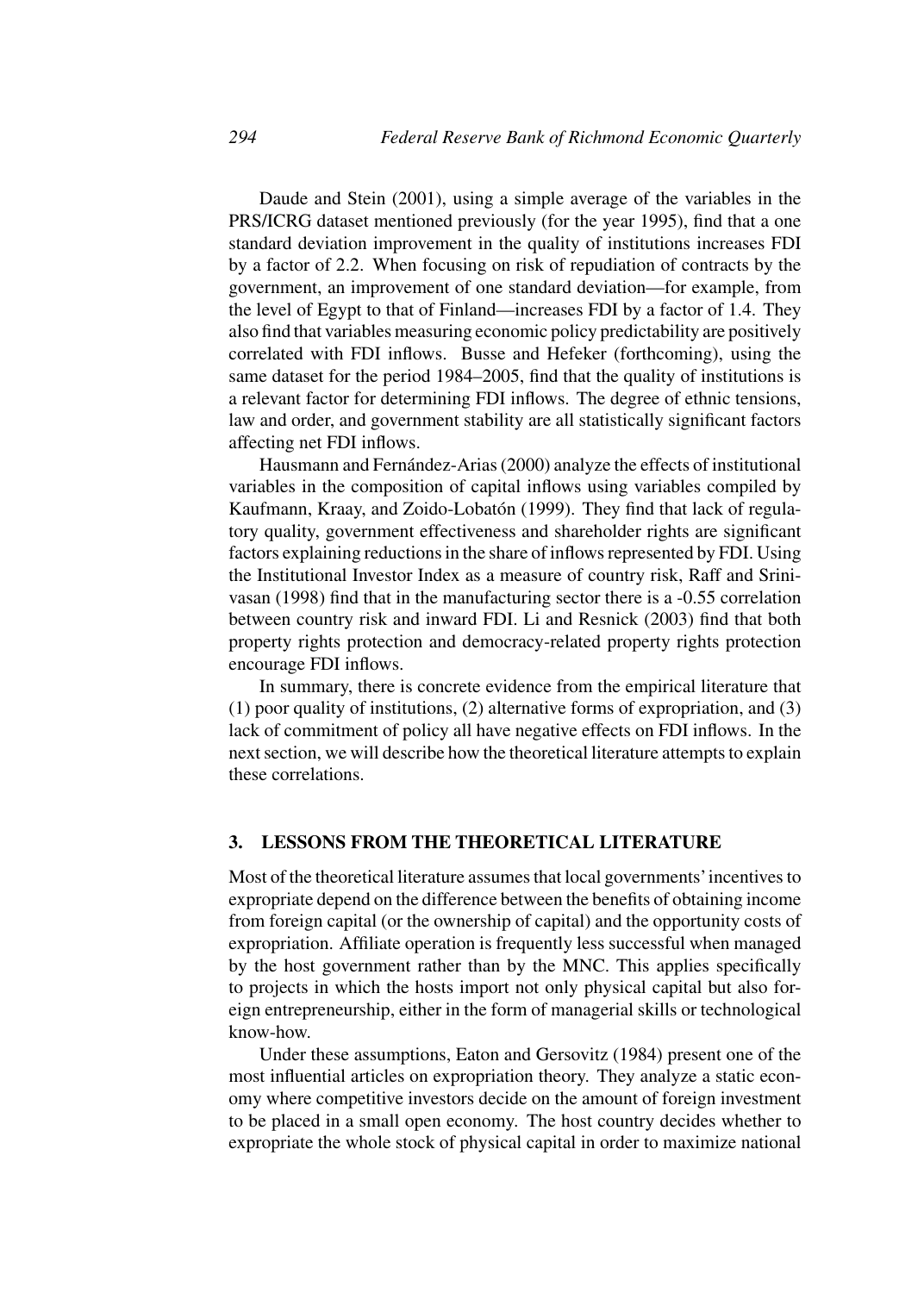Daude and Stein (2001), using a simple average of the variables in the PRS/ICRG dataset mentioned previously (for the year 1995), find that a one standard deviation improvement in the quality of institutions increases FDI by a factor of 2.2. When focusing on risk of repudiation of contracts by the government, an improvement of one standard deviation—for example, from the level of Egypt to that of Finland—increases FDI by a factor of 1.4. They also find that variables measuring economic policy predictability are positively correlated with FDI inflows. Busse and Hefeker (forthcoming), using the same dataset for the period 1984–2005, find that the quality of institutions is a relevant factor for determining FDI inflows. The degree of ethnic tensions, law and order, and government stability are all statistically significant factors affecting net FDI inflows.

Hausmann and Fernández-Arias (2000) analyze the effects of institutional variables in the composition of capital inflows using variables compiled by Kaufmann, Kraay, and Zoido-Lobatón (1999). They find that lack of regulatory quality, government effectiveness and shareholder rights are significant factors explaining reductions in the share of inflows represented by FDI. Using the Institutional Investor Index as a measure of country risk, Raff and Srinivasan (1998) find that in the manufacturing sector there is a -0.55 correlation between country risk and inward FDI. Li and Resnick (2003) find that both property rights protection and democracy-related property rights protection encourage FDI inflows.

In summary, there is concrete evidence from the empirical literature that (1) poor quality of institutions, (2) alternative forms of expropriation, and (3) lack of commitment of policy all have negative effects on FDI inflows. In the next section, we will describe how the theoretical literature attempts to explain these correlations.

## **3. LESSONS FROM THE THEORETICAL LITERATURE**

Most of the theoretical literature assumes that local governments'incentives to expropriate depend on the difference between the benefits of obtaining income from foreign capital (or the ownership of capital) and the opportunity costs of expropriation. Affiliate operation is frequently less successful when managed by the host government rather than by the MNC. This applies specifically to projects in which the hosts import not only physical capital but also foreign entrepreneurship, either in the form of managerial skills or technological know-how.

Under these assumptions, Eaton and Gersovitz (1984) present one of the most influential articles on expropriation theory. They analyze a static economy where competitive investors decide on the amount of foreign investment to be placed in a small open economy. The host country decides whether to expropriate the whole stock of physical capital in order to maximize national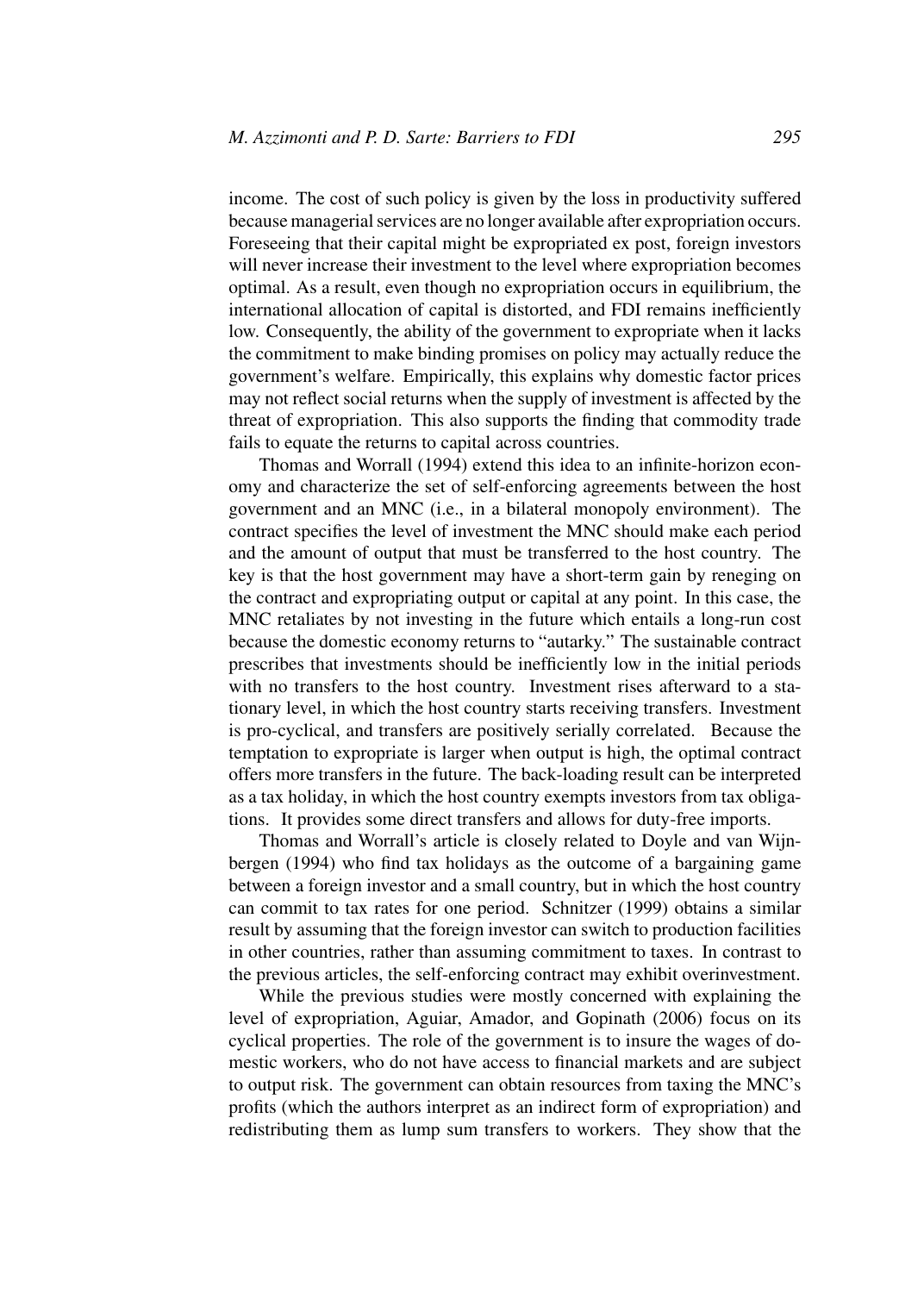income. The cost of such policy is given by the loss in productivity suffered because managerial services are no longer available after expropriation occurs. Foreseeing that their capital might be expropriated ex post, foreign investors will never increase their investment to the level where expropriation becomes optimal. As a result, even though no expropriation occurs in equilibrium, the international allocation of capital is distorted, and FDI remains inefficiently low. Consequently, the ability of the government to expropriate when it lacks the commitment to make binding promises on policy may actually reduce the government's welfare. Empirically, this explains why domestic factor prices may not reflect social returns when the supply of investment is affected by the threat of expropriation. This also supports the finding that commodity trade fails to equate the returns to capital across countries.

Thomas and Worrall (1994) extend this idea to an infinite-horizon economy and characterize the set of self-enforcing agreements between the host government and an MNC (i.e., in a bilateral monopoly environment). The contract specifies the level of investment the MNC should make each period and the amount of output that must be transferred to the host country. The key is that the host government may have a short-term gain by reneging on the contract and expropriating output or capital at any point. In this case, the MNC retaliates by not investing in the future which entails a long-run cost because the domestic economy returns to "autarky." The sustainable contract prescribes that investments should be inefficiently low in the initial periods with no transfers to the host country. Investment rises afterward to a stationary level, in which the host country starts receiving transfers. Investment is pro-cyclical, and transfers are positively serially correlated. Because the temptation to expropriate is larger when output is high, the optimal contract offers more transfers in the future. The back-loading result can be interpreted as a tax holiday, in which the host country exempts investors from tax obligations. It provides some direct transfers and allows for duty-free imports.

Thomas and Worrall's article is closely related to Doyle and van Wijnbergen (1994) who find tax holidays as the outcome of a bargaining game between a foreign investor and a small country, but in which the host country can commit to tax rates for one period. Schnitzer (1999) obtains a similar result by assuming that the foreign investor can switch to production facilities in other countries, rather than assuming commitment to taxes. In contrast to the previous articles, the self-enforcing contract may exhibit overinvestment.

While the previous studies were mostly concerned with explaining the level of expropriation, Aguiar, Amador, and Gopinath (2006) focus on its cyclical properties. The role of the government is to insure the wages of domestic workers, who do not have access to financial markets and are subject to output risk. The government can obtain resources from taxing the MNC's profits (which the authors interpret as an indirect form of expropriation) and redistributing them as lump sum transfers to workers. They show that the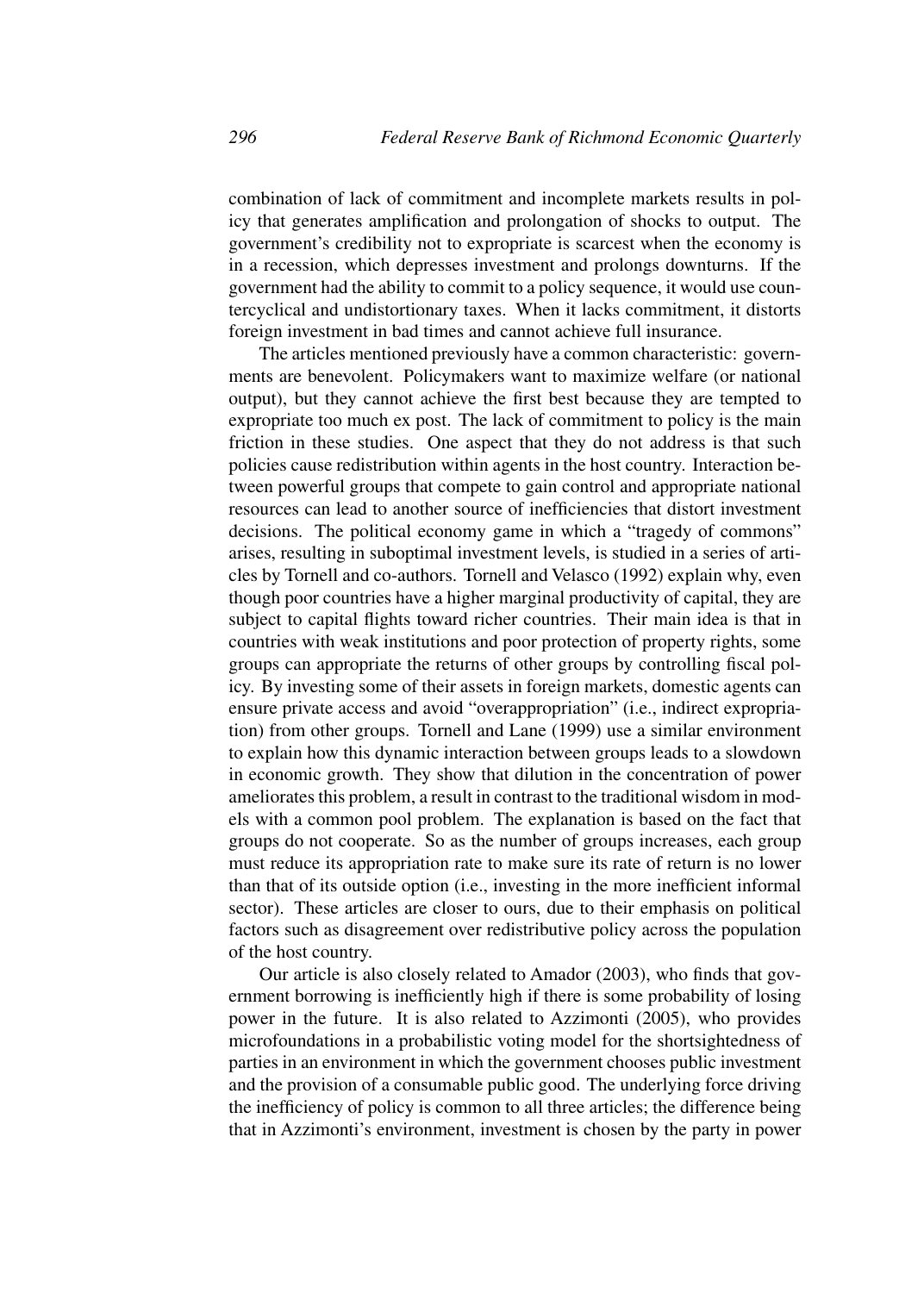combination of lack of commitment and incomplete markets results in policy that generates amplification and prolongation of shocks to output. The government's credibility not to expropriate is scarcest when the economy is in a recession, which depresses investment and prolongs downturns. If the government had the ability to commit to a policy sequence, it would use countercyclical and undistortionary taxes. When it lacks commitment, it distorts foreign investment in bad times and cannot achieve full insurance.

The articles mentioned previously have a common characteristic: governments are benevolent. Policymakers want to maximize welfare (or national output), but they cannot achieve the first best because they are tempted to expropriate too much ex post. The lack of commitment to policy is the main friction in these studies. One aspect that they do not address is that such policies cause redistribution within agents in the host country. Interaction between powerful groups that compete to gain control and appropriate national resources can lead to another source of inefficiencies that distort investment decisions. The political economy game in which a "tragedy of commons" arises, resulting in suboptimal investment levels, is studied in a series of articles by Tornell and co-authors. Tornell and Velasco (1992) explain why, even though poor countries have a higher marginal productivity of capital, they are subject to capital flights toward richer countries. Their main idea is that in countries with weak institutions and poor protection of property rights, some groups can appropriate the returns of other groups by controlling fiscal policy. By investing some of their assets in foreign markets, domestic agents can ensure private access and avoid "overappropriation" (i.e., indirect expropriation) from other groups. Tornell and Lane (1999) use a similar environment to explain how this dynamic interaction between groups leads to a slowdown in economic growth. They show that dilution in the concentration of power ameliorates this problem, a result in contrast to the traditional wisdom in models with a common pool problem. The explanation is based on the fact that groups do not cooperate. So as the number of groups increases, each group must reduce its appropriation rate to make sure its rate of return is no lower than that of its outside option (i.e., investing in the more inefficient informal sector). These articles are closer to ours, due to their emphasis on political factors such as disagreement over redistributive policy across the population of the host country.

Our article is also closely related to Amador (2003), who finds that government borrowing is inefficiently high if there is some probability of losing power in the future. It is also related to Azzimonti (2005), who provides microfoundations in a probabilistic voting model for the shortsightedness of parties in an environment in which the government chooses public investment and the provision of a consumable public good. The underlying force driving the inefficiency of policy is common to all three articles; the difference being that in Azzimonti's environment, investment is chosen by the party in power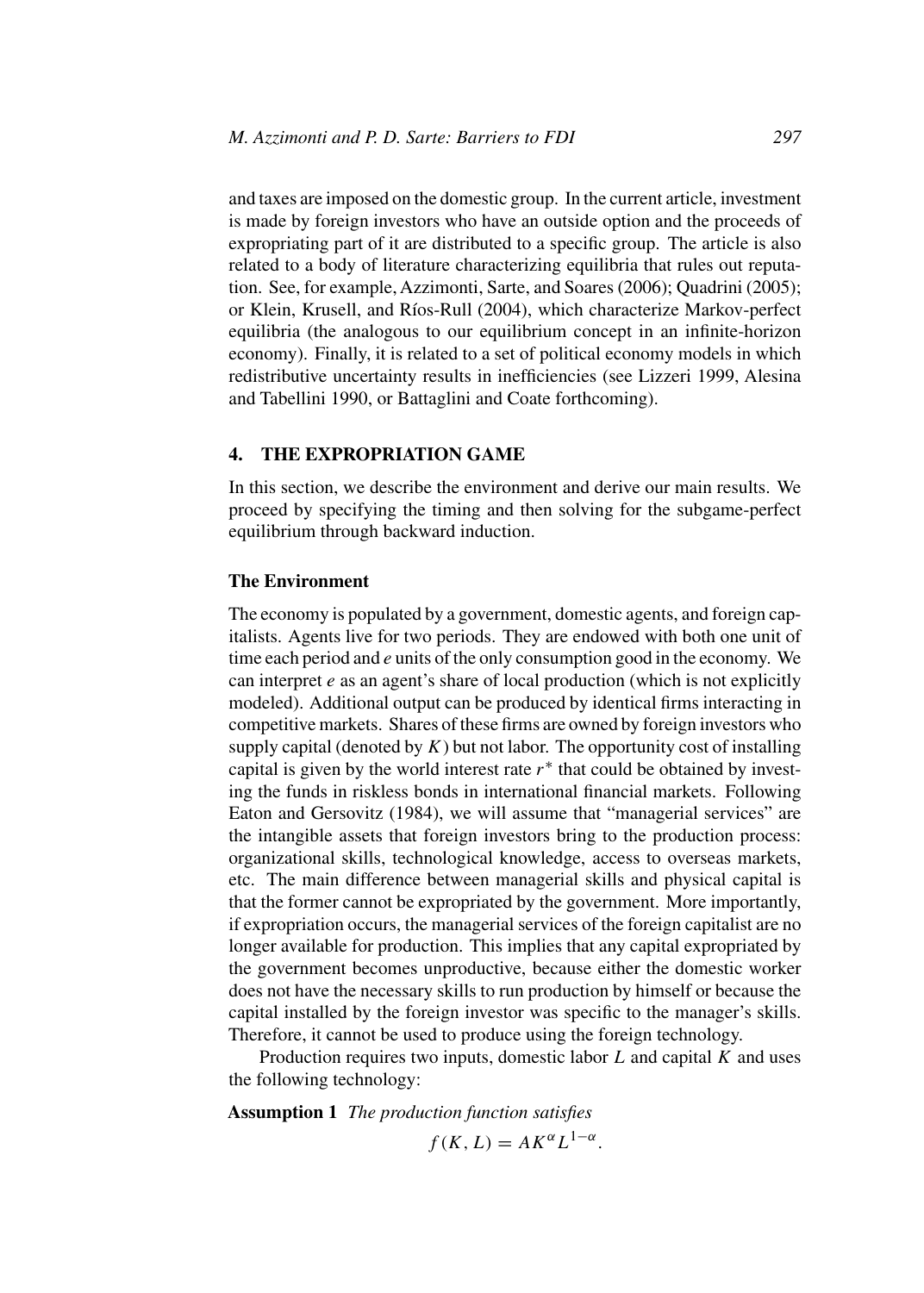and taxes are imposed on the domestic group. In the current article, investment is made by foreign investors who have an outside option and the proceeds of expropriating part of it are distributed to a specific group. The article is also related to a body of literature characterizing equilibria that rules out reputation. See, for example, Azzimonti, Sarte, and Soares (2006); Quadrini (2005); or Klein, Krusell, and Ríos-Rull (2004), which characterize Markov-perfect equilibria (the analogous to our equilibrium concept in an infinite-horizon economy). Finally, it is related to a set of political economy models in which redistributive uncertainty results in inefficiencies (see Lizzeri 1999, Alesina and Tabellini 1990, or Battaglini and Coate forthcoming).

# **4. THE EXPROPRIATION GAME**

In this section, we describe the environment and derive our main results. We proceed by specifying the timing and then solving for the subgame-perfect equilibrium through backward induction.

#### **The Environment**

The economy is populated by a government, domestic agents, and foreign capitalists. Agents live for two periods. They are endowed with both one unit of time each period and *e* units of the only consumption good in the economy. We can interpret *e* as an agent's share of local production (which is not explicitly modeled). Additional output can be produced by identical firms interacting in competitive markets. Shares of these firms are owned by foreign investors who supply capital (denoted by  $K$ ) but not labor. The opportunity cost of installing capital is given by the world interest rate  $r^*$  that could be obtained by investing the funds in riskless bonds in international financial markets. Following Eaton and Gersovitz (1984), we will assume that "managerial services" are the intangible assets that foreign investors bring to the production process: organizational skills, technological knowledge, access to overseas markets, etc. The main difference between managerial skills and physical capital is that the former cannot be expropriated by the government. More importantly, if expropriation occurs, the managerial services of the foreign capitalist are no longer available for production. This implies that any capital expropriated by the government becomes unproductive, because either the domestic worker does not have the necessary skills to run production by himself or because the capital installed by the foreign investor was specific to the manager's skills. Therefore, it cannot be used to produce using the foreign technology.

Production requires two inputs, domestic labor *L* and capital *K* and uses the following technology:

**Assumption 1** *The production function satisfies*  $f(K, L) = AK^{\alpha}L^{1-\alpha}.$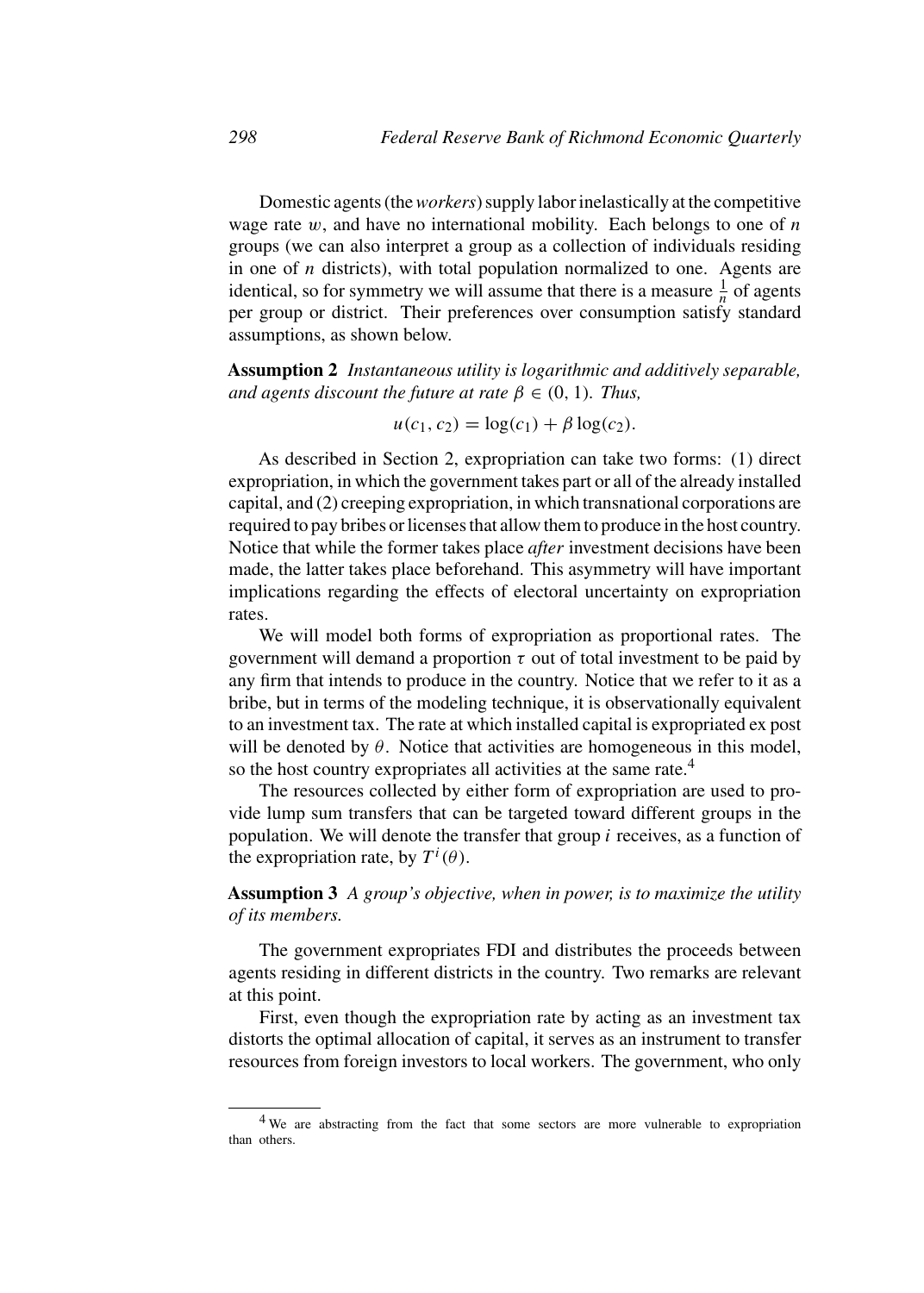Domestic agents (the*workers*) supply labor inelastically at the competitive wage rate *w*, and have no international mobility. Each belongs to one of *n* groups (we can also interpret a group as a collection of individuals residing in one of *n* districts), with total population normalized to one. Agents are identical, so for symmetry we will assume that there is a measure  $\frac{1}{n}$  of agents per group or district. Their preferences over consumption satisfy standard assumptions, as shown below.

**Assumption 2** *Instantaneous utility is logarithmic and additively separable, and agents discount the future at rate*  $\beta \in (0, 1)$ *. Thus,* 

$$
u(c_1, c_2) = \log(c_1) + \beta \log(c_2).
$$

As described in Section 2, expropriation can take two forms: (1) direct expropriation, in which the government takes part or all of the already installed capital, and (2) creeping expropriation, in which transnational corporations are required to pay bribes or licenses that allow them to produce in the host country. Notice that while the former takes place *after* investment decisions have been made, the latter takes place beforehand. This asymmetry will have important implications regarding the effects of electoral uncertainty on expropriation rates.

We will model both forms of expropriation as proportional rates. The government will demand a proportion *τ* out of total investment to be paid by any firm that intends to produce in the country. Notice that we refer to it as a bribe, but in terms of the modeling technique, it is observationally equivalent to an investment tax. The rate at which installed capital is expropriated ex post will be denoted by  $\theta$ . Notice that activities are homogeneous in this model, so the host country expropriates all activities at the same rate.<sup>4</sup>

The resources collected by either form of expropriation are used to provide lump sum transfers that can be targeted toward different groups in the population. We will denote the transfer that group *i* receives, as a function of the expropriation rate, by  $T^i(\theta)$ .

# **Assumption 3** *A group's objective, when in power, is to maximize the utility of its members.*

The government expropriates FDI and distributes the proceeds between agents residing in different districts in the country. Two remarks are relevant at this point.

First, even though the expropriation rate by acting as an investment tax distorts the optimal allocation of capital, it serves as an instrument to transfer resources from foreign investors to local workers. The government, who only

<sup>&</sup>lt;sup>4</sup> We are abstracting from the fact that some sectors are more vulnerable to expropriation than others.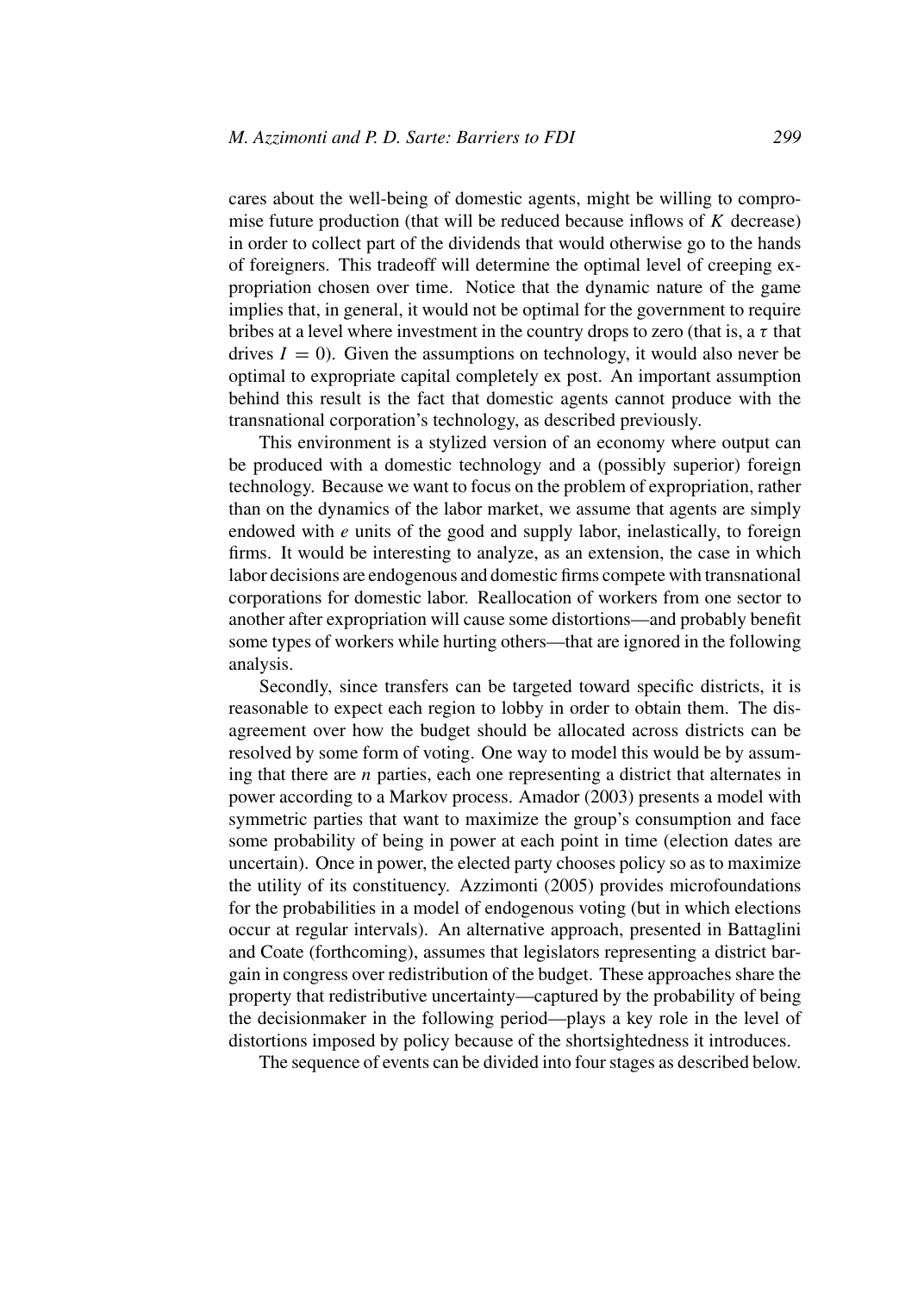cares about the well-being of domestic agents, might be willing to compromise future production (that will be reduced because inflows of *K* decrease) in order to collect part of the dividends that would otherwise go to the hands of foreigners. This tradeoff will determine the optimal level of creeping expropriation chosen over time. Notice that the dynamic nature of the game implies that, in general, it would not be optimal for the government to require bribes at a level where investment in the country drops to zero (that is, a *τ* that drives  $I = 0$ ). Given the assumptions on technology, it would also never be optimal to expropriate capital completely ex post. An important assumption behind this result is the fact that domestic agents cannot produce with the transnational corporation's technology, as described previously.

This environment is a stylized version of an economy where output can be produced with a domestic technology and a (possibly superior) foreign technology. Because we want to focus on the problem of expropriation, rather than on the dynamics of the labor market, we assume that agents are simply endowed with *e* units of the good and supply labor, inelastically, to foreign firms. It would be interesting to analyze, as an extension, the case in which labor decisions are endogenous and domestic firms compete with transnational corporations for domestic labor. Reallocation of workers from one sector to another after expropriation will cause some distortions—and probably benefit some types of workers while hurting others—that are ignored in the following analysis.

Secondly, since transfers can be targeted toward specific districts, it is reasonable to expect each region to lobby in order to obtain them. The disagreement over how the budget should be allocated across districts can be resolved by some form of voting. One way to model this would be by assuming that there are *n* parties, each one representing a district that alternates in power according to a Markov process. Amador (2003) presents a model with symmetric parties that want to maximize the group's consumption and face some probability of being in power at each point in time (election dates are uncertain). Once in power, the elected party chooses policy so as to maximize the utility of its constituency. Azzimonti (2005) provides microfoundations for the probabilities in a model of endogenous voting (but in which elections occur at regular intervals). An alternative approach, presented in Battaglini and Coate (forthcoming), assumes that legislators representing a district bargain in congress over redistribution of the budget. These approaches share the property that redistributive uncertainty—captured by the probability of being the decisionmaker in the following period—plays a key role in the level of distortions imposed by policy because of the shortsightedness it introduces.

The sequence of events can be divided into four stages as described below.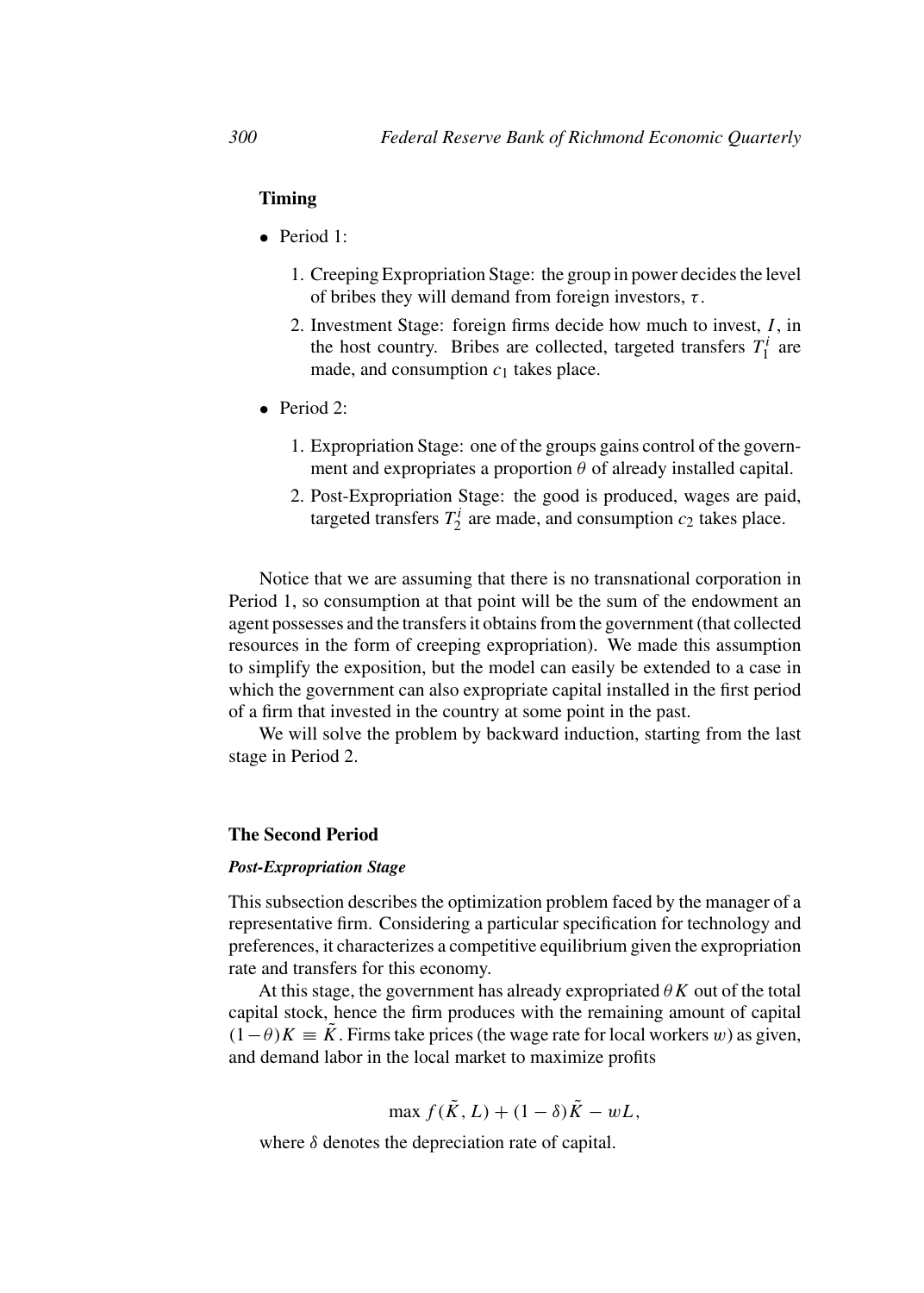# **Timing**

- Period 1:
	- 1. Creeping Expropriation Stage: the group in power decides the level of bribes they will demand from foreign investors, *τ* .
	- 2. Investment Stage: foreign firms decide how much to invest, *I* , in the host country. Bribes are collected, targeted transfers  $T_1^i$  are made, and consumption  $c_1$  takes place.
- Period 2:
	- 1. Expropriation Stage: one of the groups gains control of the government and expropriates a proportion  $\theta$  of already installed capital.
	- 2. Post-Expropriation Stage: the good is produced, wages are paid, targeted transfers  $T_2^i$  are made, and consumption  $c_2$  takes place.

Notice that we are assuming that there is no transnational corporation in Period 1, so consumption at that point will be the sum of the endowment an agent possesses and the transfers it obtains from the government (that collected resources in the form of creeping expropriation). We made this assumption to simplify the exposition, but the model can easily be extended to a case in which the government can also expropriate capital installed in the first period of a firm that invested in the country at some point in the past.

We will solve the problem by backward induction, starting from the last stage in Period 2.

## **The Second Period**

#### *Post-Expropriation Stage*

This subsection describes the optimization problem faced by the manager of a representative firm. Considering a particular specification for technology and preferences, it characterizes a competitive equilibrium given the expropriation rate and transfers for this economy.

At this stage, the government has already expropriated  $\theta K$  out of the total capital stock, hence the firm produces with the remaining amount of capital  $(1-\theta)K \equiv \tilde{K}$ . Firms take prices (the wage rate for local workers *w*) as given, and demand labor in the local market to maximize profits

$$
\max f(\tilde{K}, L) + (1 - \delta)\tilde{K} - wL,
$$

where  $\delta$  denotes the depreciation rate of capital.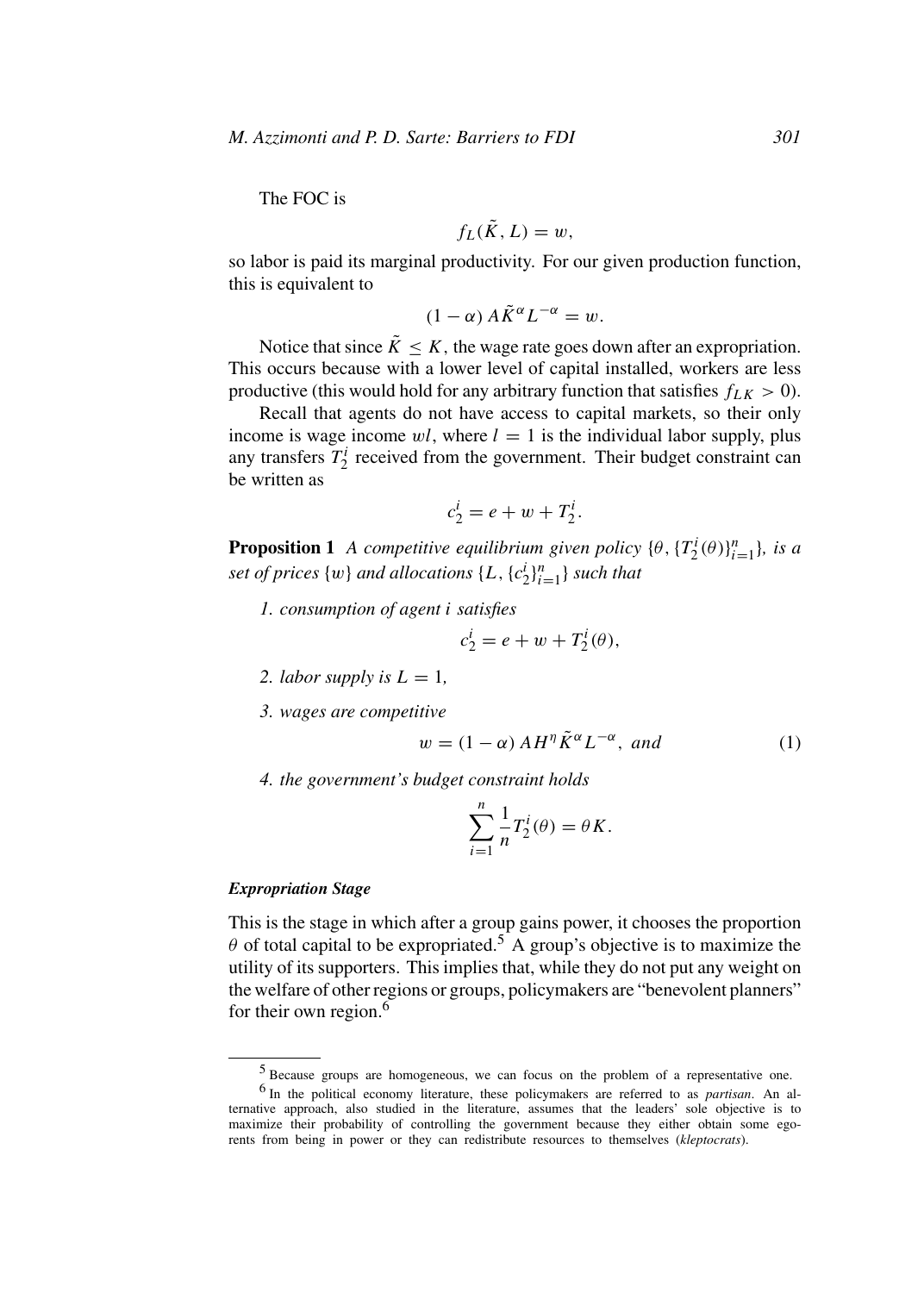The FOC is

$$
f_L(\tilde{K}, L) = w,
$$

so labor is paid its marginal productivity. For our given production function, this is equivalent to

$$
(1 - \alpha) A \tilde{K}^{\alpha} L^{-\alpha} = w.
$$

Notice that since  $\tilde{K} \leq K$ , the wage rate goes down after an expropriation. This occurs because with a lower level of capital installed, workers are less productive (this would hold for any arbitrary function that satisfies  $f_{LK} > 0$ ).

Recall that agents do not have access to capital markets, so their only income is wage income  $wl$ , where  $l = 1$  is the individual labor supply, plus any transfers  $T_2^i$  received from the government. Their budget constraint can be written as

$$
c_2^i = e + w + T_2^i.
$$

**Proposition 1** *A competitive equilibrium given policy*  $\{\theta, \{T_2^i(\theta)\}_{i=1}^n\}$ *, is a set of prices*  $\{w\}$  *and allocations*  $\{L, \{c_2^i\}_{i=1}^n\}$  *such that* 

*1. consumption of agent i satisfies*

$$
c_2^i = e + w + T_2^i(\theta),
$$

- *2. labor supply is*  $L = 1$ ,
- *3. wages are competitive*

$$
w = (1 - \alpha) A H^{\eta} \tilde{K}^{\alpha} L^{-\alpha}, \text{ and}
$$
 (1)

*4. the government's budget constraint holds*

$$
\sum_{i=1}^n \frac{1}{n} T_2^i(\theta) = \theta K.
$$

#### *Expropriation Stage*

This is the stage in which after a group gains power, it chooses the proportion  $\theta$  of total capital to be expropriated.<sup>5</sup> A group's objective is to maximize the utility of its supporters. This implies that, while they do not put any weight on the welfare of other regions or groups, policymakers are "benevolent planners" for their own region.<sup>6</sup>

<sup>5</sup> Because groups are homogeneous, we can focus on the problem of a representative one. <sup>6</sup> In the political economy literature, these policymakers are referred to as *partisan*. An alternative approach, also studied in the literature, assumes that the leaders' sole objective is to maximize their probability of controlling the government because they either obtain some egorents from being in power or they can redistribute resources to themselves (*kleptocrats*).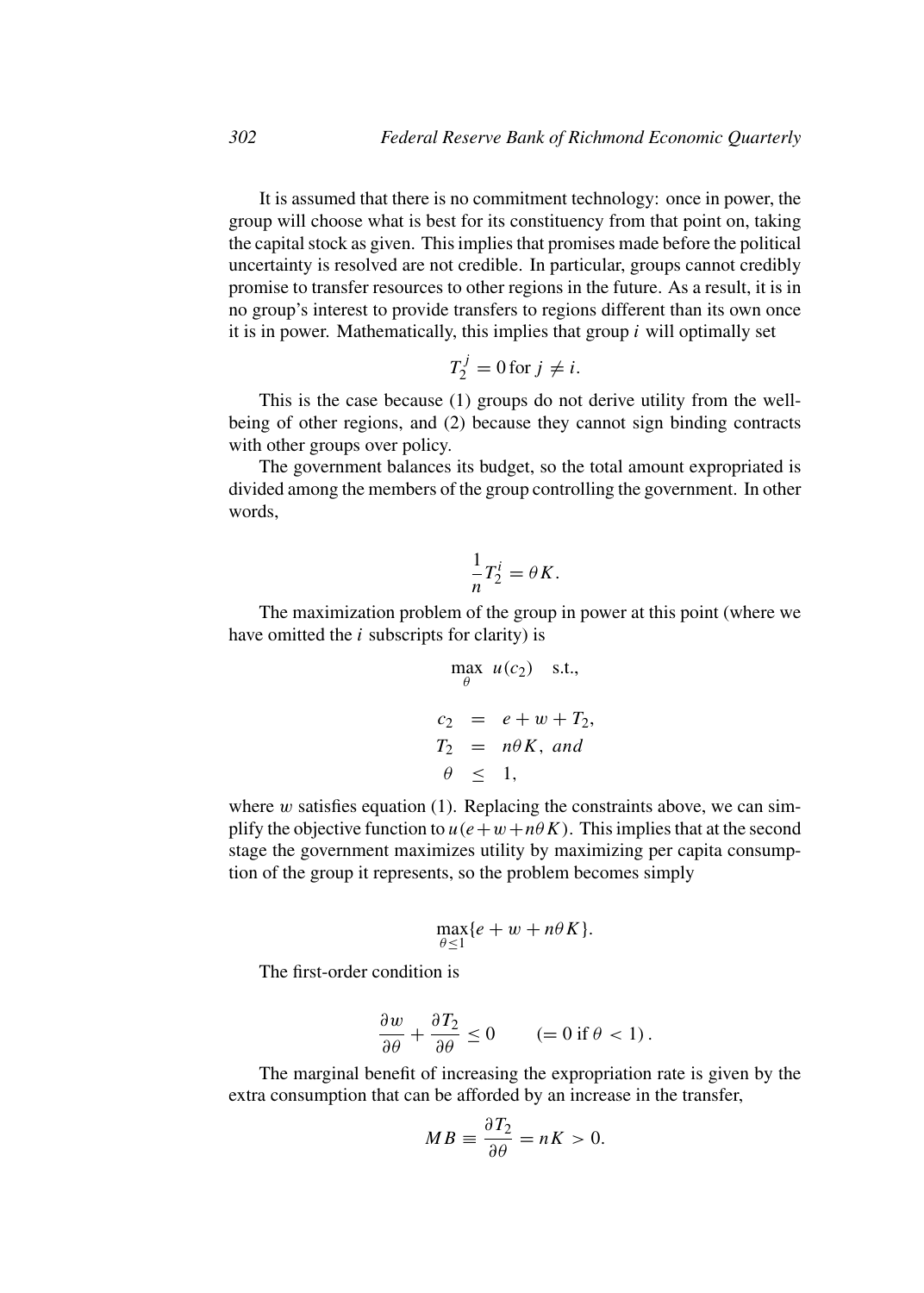It is assumed that there is no commitment technology: once in power, the group will choose what is best for its constituency from that point on, taking the capital stock as given. This implies that promises made before the political uncertainty is resolved are not credible. In particular, groups cannot credibly promise to transfer resources to other regions in the future. As a result, it is in no group's interest to provide transfers to regions different than its own once it is in power. Mathematically, this implies that group *i* will optimally set

$$
T_2^j = 0 \text{ for } j \neq i.
$$

This is the case because (1) groups do not derive utility from the wellbeing of other regions, and (2) because they cannot sign binding contracts with other groups over policy.

The government balances its budget, so the total amount expropriated is divided among the members of the group controlling the government. In other words,

$$
\frac{1}{n}T_2^i = \theta K.
$$

The maximization problem of the group in power at this point (where we have omitted the *i* subscripts for clarity) is

$$
\max_{\theta} u(c_2) \quad \text{s.t.,}
$$
\n
$$
c_2 = e + w + T_2,
$$
\n
$$
T_2 = n\theta K, \text{ and}
$$
\n
$$
\theta \leq 1,
$$

where *w* satisfies equation (1). Replacing the constraints above, we can simplify the objective function to  $u(e+w+n\theta K)$ . This implies that at the second stage the government maximizes utility by maximizing per capita consumption of the group it represents, so the problem becomes simply

$$
\max_{\theta \le 1} \{e + w + n\theta K\}.
$$

The first-order condition is

$$
\frac{\partial w}{\partial \theta} + \frac{\partial T_2}{\partial \theta} \le 0 \qquad (= 0 \text{ if } \theta < 1).
$$

The marginal benefit of increasing the expropriation rate is given by the extra consumption that can be afforded by an increase in the transfer,

$$
MB \equiv \frac{\partial T_2}{\partial \theta} = nK > 0.
$$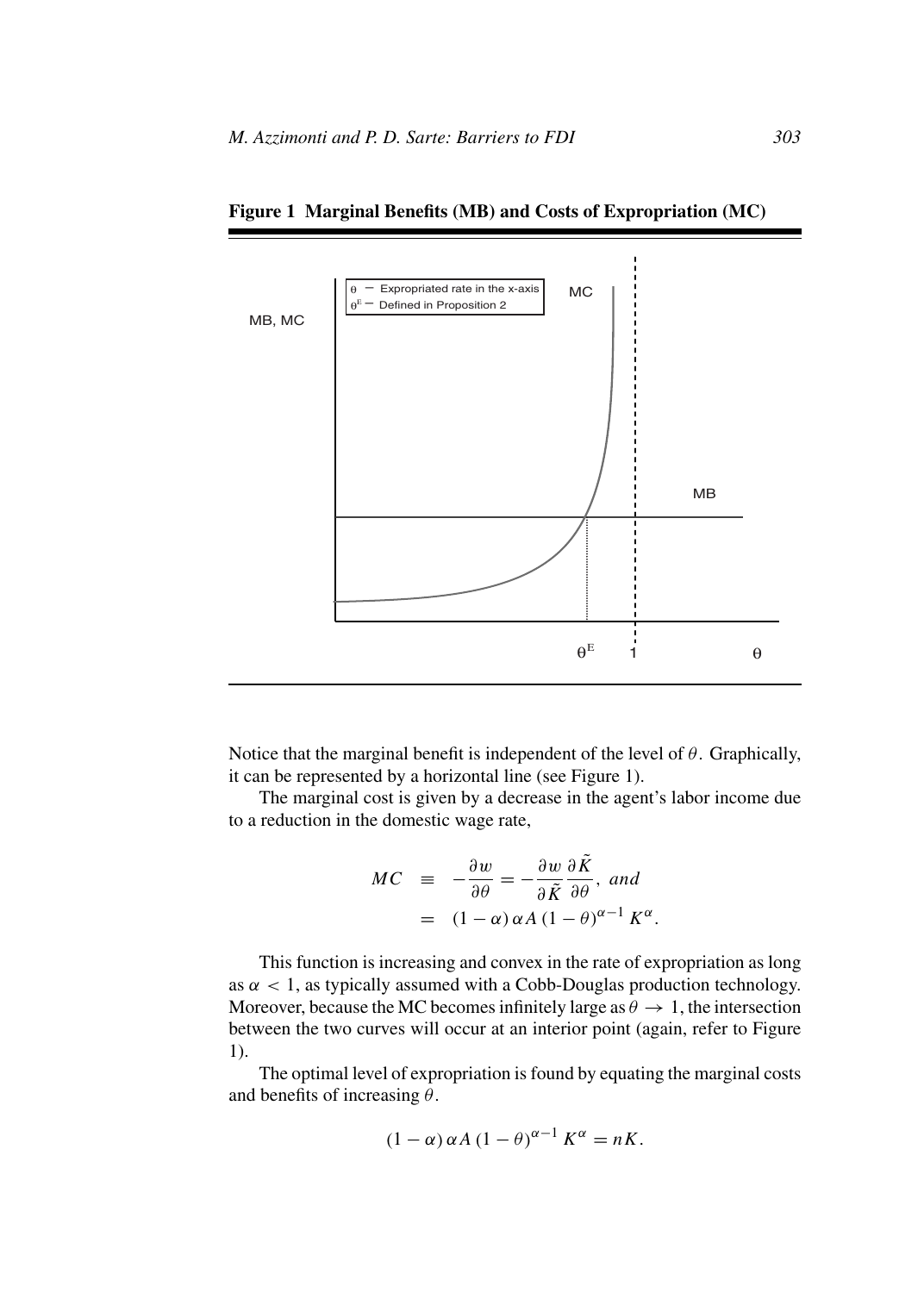

**Figure 1 Marginal Benefits (MB) and Costs of Expropriation (MC)**

Notice that the marginal benefit is independent of the level of *θ*. Graphically, it can be represented by a horizontal line (see Figure 1).

The marginal cost is given by a decrease in the agent's labor income due to a reduction in the domestic wage rate,

$$
MC \equiv -\frac{\partial w}{\partial \theta} = -\frac{\partial w}{\partial \tilde{K}} \frac{\partial \tilde{K}}{\partial \theta}, \text{ and}
$$

$$
= (1 - \alpha) \alpha A (1 - \theta)^{\alpha - 1} K^{\alpha}.
$$

This function is increasing and convex in the rate of expropriation as long as  $\alpha$  < 1, as typically assumed with a Cobb-Douglas production technology. Moreover, because the MC becomes infinitely large as  $\theta \to 1$ , the intersection between the two curves will occur at an interior point (again, refer to Figure 1).

The optimal level of expropriation is found by equating the marginal costs and benefits of increasing *θ*.

$$
(1 - \alpha) \alpha A (1 - \theta)^{\alpha - 1} K^{\alpha} = nK.
$$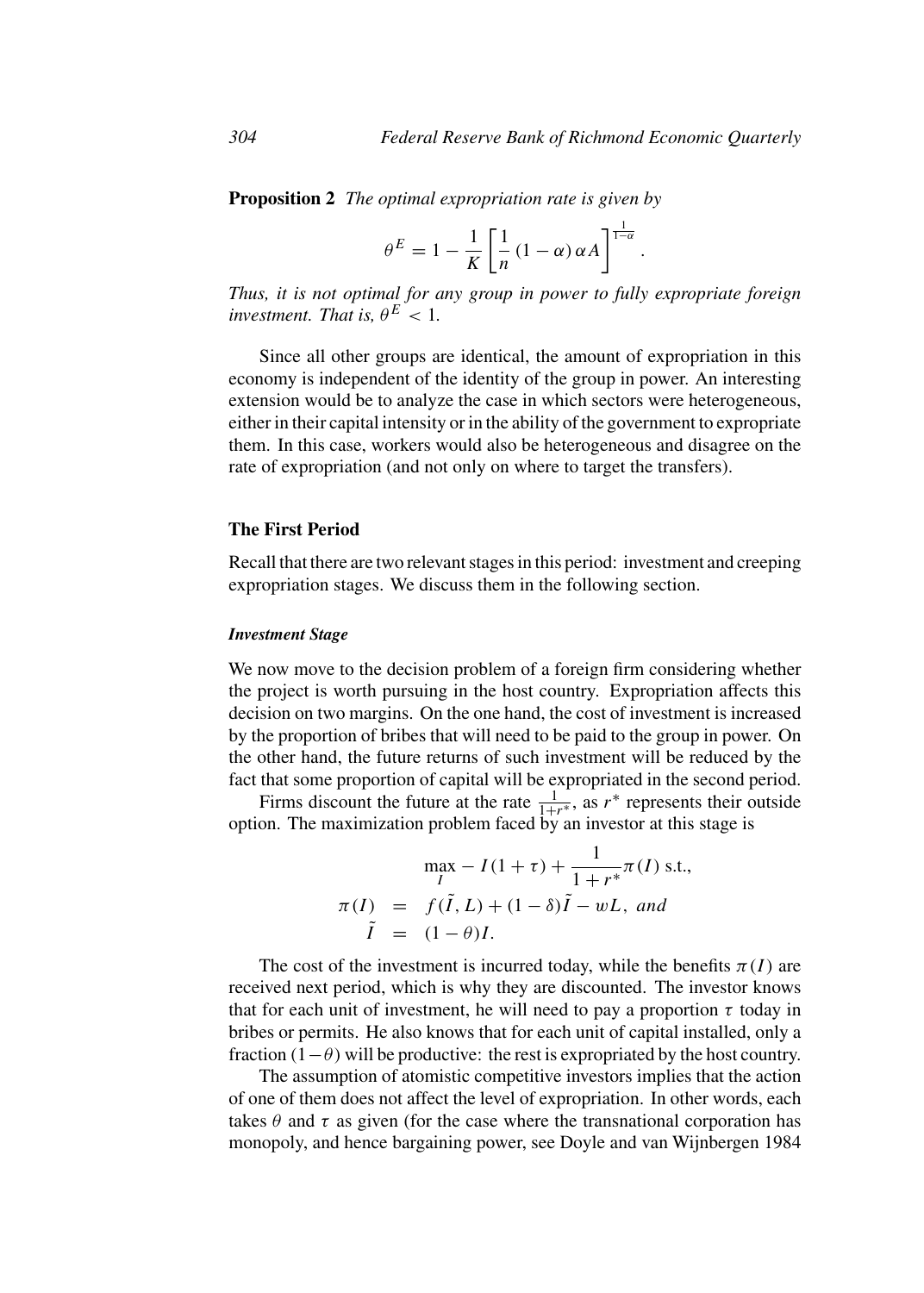*.*

**Proposition 2** *The optimal expropriation rate is given by*

$$
\theta^E = 1 - \frac{1}{K} \left[ \frac{1}{n} (1 - \alpha) \alpha A \right]^{1 - \alpha}
$$

*Thus, it is not optimal for any group in power to fully expropriate foreign investment. That is,*  $\theta^E$  < 1*.* 

Since all other groups are identical, the amount of expropriation in this economy is independent of the identity of the group in power. An interesting extension would be to analyze the case in which sectors were heterogeneous, either in their capital intensity or in the ability of the government to expropriate them. In this case, workers would also be heterogeneous and disagree on the rate of expropriation (and not only on where to target the transfers).

#### **The First Period**

Recall that there are two relevant stages in this period: investment and creeping expropriation stages. We discuss them in the following section.

#### *Investment Stage*

We now move to the decision problem of a foreign firm considering whether the project is worth pursuing in the host country. Expropriation affects this decision on two margins. On the one hand, the cost of investment is increased by the proportion of bribes that will need to be paid to the group in power. On the other hand, the future returns of such investment will be reduced by the fact that some proportion of capital will be expropriated in the second period.

Firms discount the future at the rate  $\frac{1}{1+r^*}$ , as  $r^*$  represents their outside option. The maximization problem faced by an investor at this stage is

$$
\max_{I} - I(1 + \tau) + \frac{1}{1 + r^*} \pi(I) \text{ s.t.},
$$
  
\n
$$
\pi(I) = f(\tilde{I}, L) + (1 - \delta)\tilde{I} - wL, \text{ and}
$$
  
\n
$$
\tilde{I} = (1 - \theta)I.
$$

The cost of the investment is incurred today, while the benefits  $\pi(I)$  are received next period, which is why they are discounted. The investor knows that for each unit of investment, he will need to pay a proportion  $\tau$  today in bribes or permits. He also knows that for each unit of capital installed, only a fraction  $(1-\theta)$  will be productive: the rest is expropriated by the host country.

The assumption of atomistic competitive investors implies that the action of one of them does not affect the level of expropriation. In other words, each takes  $\theta$  and  $\tau$  as given (for the case where the transnational corporation has monopoly, and hence bargaining power, see Doyle and van Wijnbergen 1984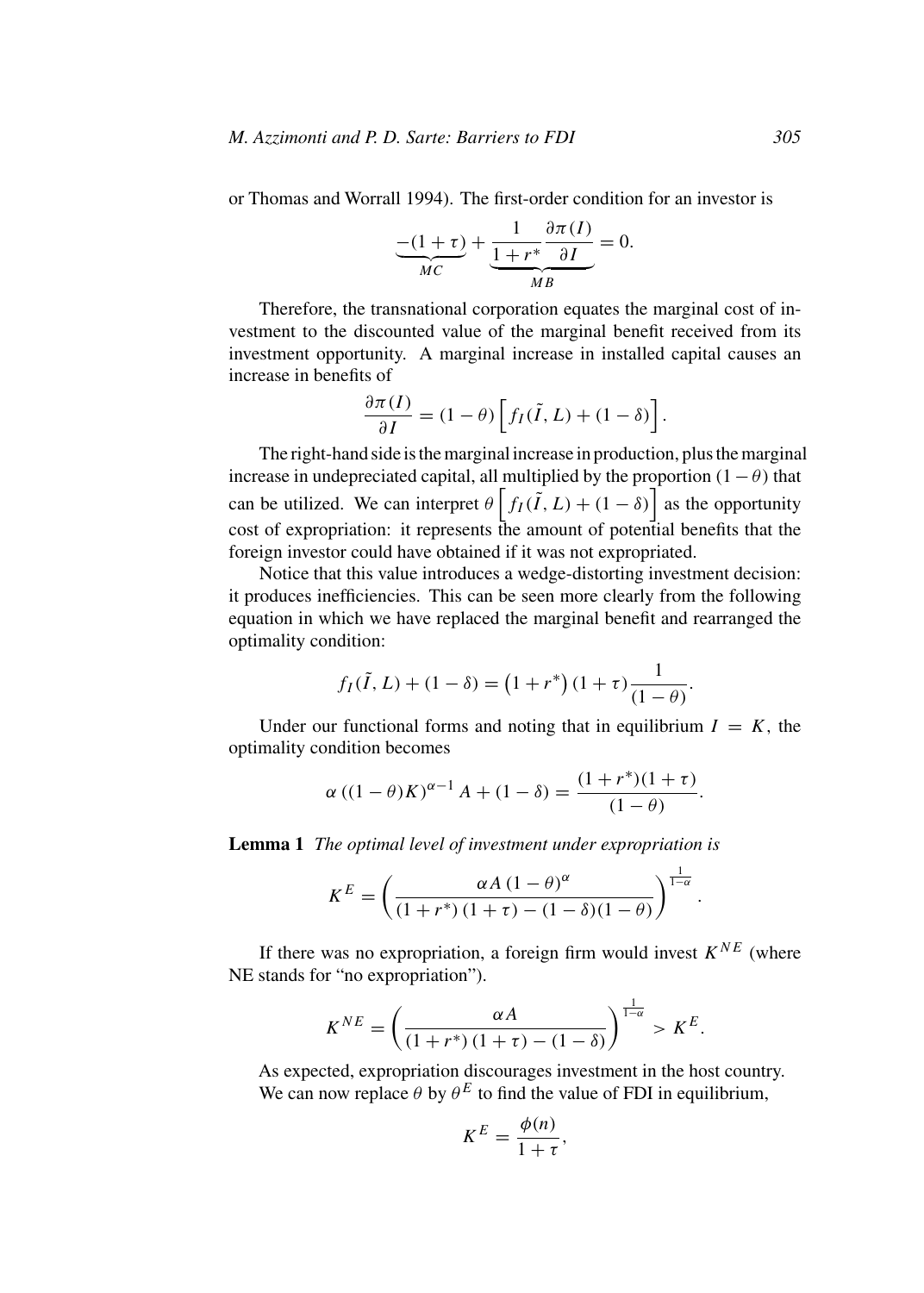or Thomas and Worrall 1994). The first-order condition for an investor is

$$
\underbrace{-(1+\tau)}_{MC} + \underbrace{\frac{1}{1+r^*} \frac{\partial \pi(I)}{\partial I}}_{MB} = 0.
$$

Therefore, the transnational corporation equates the marginal cost of investment to the discounted value of the marginal benefit received from its investment opportunity. A marginal increase in installed capital causes an increase in benefits of

$$
\frac{\partial \pi(I)}{\partial I} = (1 - \theta) \left[ f_I(\tilde{I}, L) + (1 - \delta) \right].
$$

The right-hand side is the marginal increase in production, plus the marginal increase in undepreciated capital, all multiplied by the proportion  $(1 - \theta)$  that can be utilized. We can interpret  $\theta \left[ f_I(\tilde{I}, L) + (1 - \delta) \right]$  as the opportunity cost of expropriation: it represents the amount of potential benefits that the foreign investor could have obtained if it was not expropriated.

Notice that this value introduces a wedge-distorting investment decision: it produces inefficiencies. This can be seen more clearly from the following equation in which we have replaced the marginal benefit and rearranged the optimality condition:

$$
f_I(\tilde{I}, L) + (1 - \delta) = (1 + r^*) (1 + \tau) \frac{1}{(1 - \theta)}.
$$

Under our functional forms and noting that in equilibrium  $I = K$ , the optimality condition becomes

$$
\alpha ((1 - \theta)K)^{\alpha - 1} A + (1 - \delta) = \frac{(1 + r^*)(1 + \tau)}{(1 - \theta)}.
$$

**Lemma 1** *The optimal level of investment under expropriation is*

$$
K^{E} = \left(\frac{\alpha A (1-\theta)^{\alpha}}{(1+r^*)(1+\tau) - (1-\delta)(1-\theta)}\right)^{\frac{1}{1-\alpha}}
$$

*.*

If there was no expropriation, a foreign firm would invest  $K^{NE}$  (where NE stands for "no expropriation").

$$
K^{NE} = \left(\frac{\alpha A}{\left(1 + r^*\right)\left(1 + \tau\right) - \left(1 - \delta\right)}\right)^{\frac{1}{1 - \alpha}} > K^E.
$$

As expected, expropriation discourages investment in the host country. We can now replace  $\theta$  by  $\theta^E$  to find the value of FDI in equilibrium,

$$
K^E = \frac{\phi(n)}{1+\tau},
$$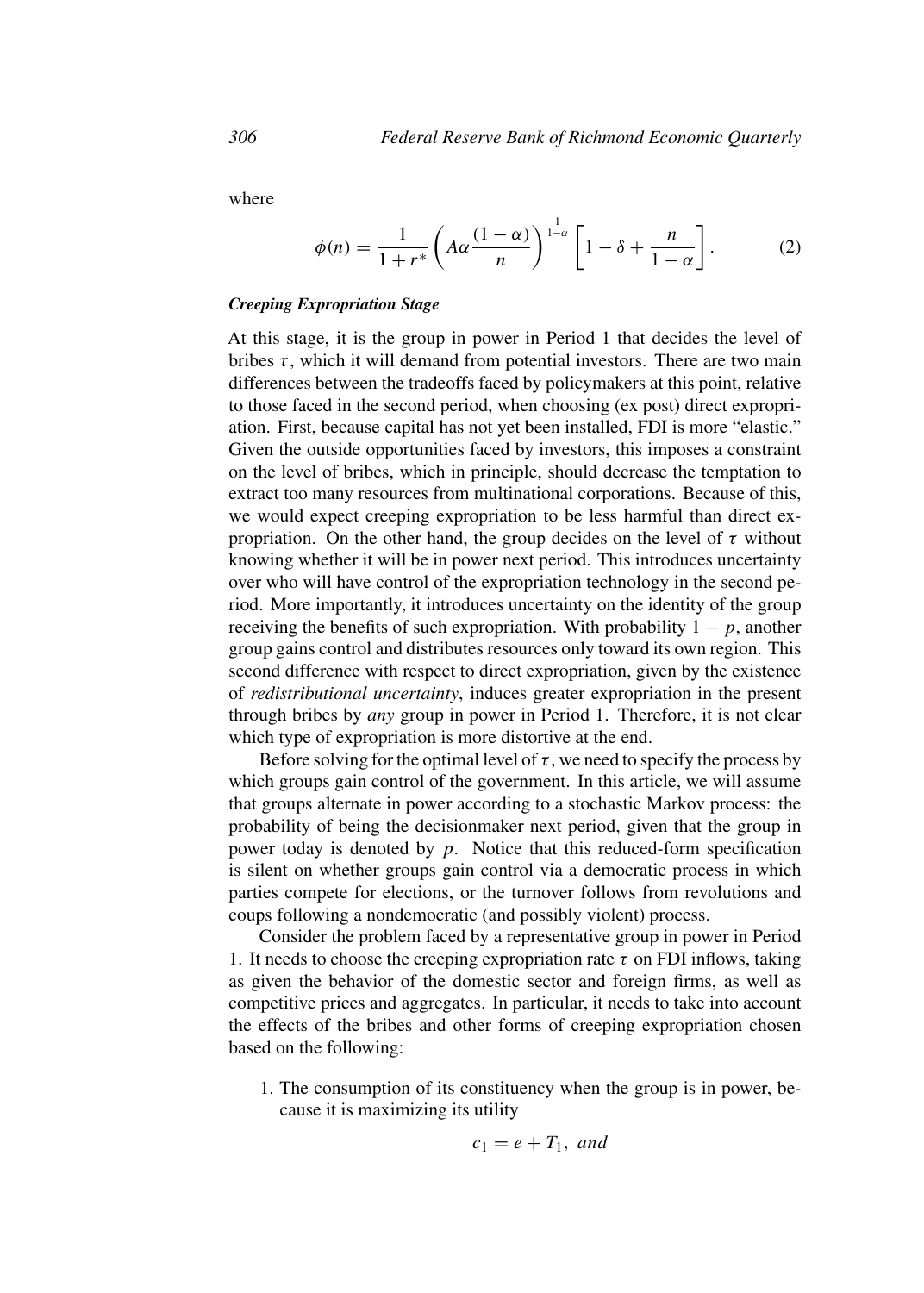where

$$
\phi(n) = \frac{1}{1+r^*} \left( A\alpha \frac{(1-\alpha)}{n} \right)^{\frac{1}{1-\alpha}} \left[ 1-\delta + \frac{n}{1-\alpha} \right].
$$
 (2)

#### *Creeping Expropriation Stage*

At this stage, it is the group in power in Period 1 that decides the level of bribes  $\tau$ , which it will demand from potential investors. There are two main differences between the tradeoffs faced by policymakers at this point, relative to those faced in the second period, when choosing (ex post) direct expropriation. First, because capital has not yet been installed, FDI is more "elastic." Given the outside opportunities faced by investors, this imposes a constraint on the level of bribes, which in principle, should decrease the temptation to extract too many resources from multinational corporations. Because of this, we would expect creeping expropriation to be less harmful than direct expropriation. On the other hand, the group decides on the level of  $\tau$  without knowing whether it will be in power next period. This introduces uncertainty over who will have control of the expropriation technology in the second period. More importantly, it introduces uncertainty on the identity of the group receiving the benefits of such expropriation. With probability  $1 - p$ , another group gains control and distributes resources only toward its own region. This second difference with respect to direct expropriation, given by the existence of *redistributional uncertainty*, induces greater expropriation in the present through bribes by *any* group in power in Period 1. Therefore, it is not clear which type of expropriation is more distortive at the end.

Before solving for the optimal level of  $\tau$ , we need to specify the process by which groups gain control of the government. In this article, we will assume that groups alternate in power according to a stochastic Markov process: the probability of being the decisionmaker next period, given that the group in power today is denoted by *p*. Notice that this reduced-form specification is silent on whether groups gain control via a democratic process in which parties compete for elections, or the turnover follows from revolutions and coups following a nondemocratic (and possibly violent) process.

Consider the problem faced by a representative group in power in Period 1. It needs to choose the creeping expropriation rate  $\tau$  on FDI inflows, taking as given the behavior of the domestic sector and foreign firms, as well as competitive prices and aggregates. In particular, it needs to take into account the effects of the bribes and other forms of creeping expropriation chosen based on the following:

1. The consumption of its constituency when the group is in power, because it is maximizing its utility

$$
c_1 = e + T_1, \text{ and}
$$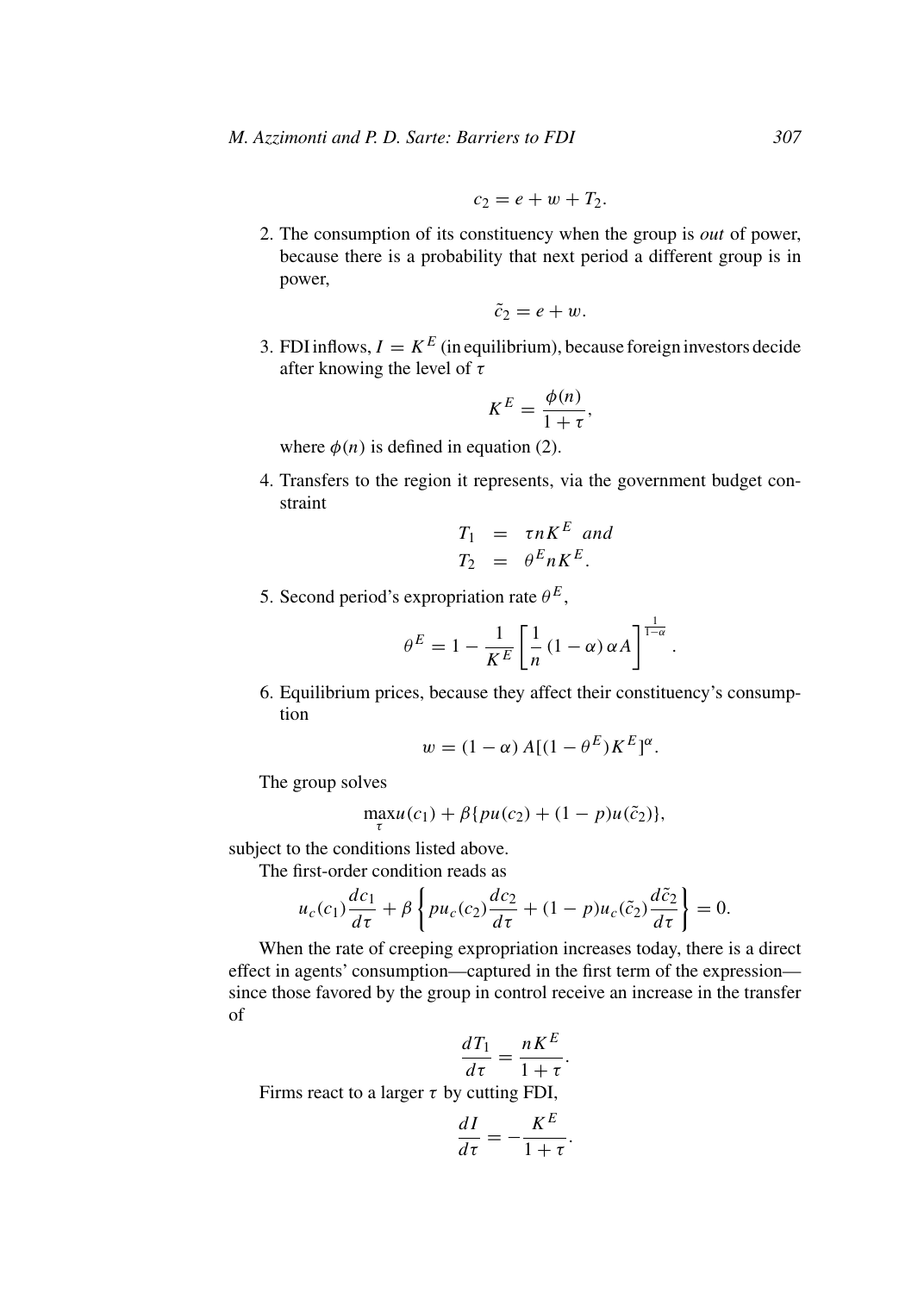$$
c_2=e+w+T_2.
$$

2. The consumption of its constituency when the group is *out* of power, because there is a probability that next period a different group is in power,

$$
\tilde{c}_2=e+w.
$$

3. FDI inflows,  $I = K^E$  (in equilibrium), because foreign investors decide after knowing the level of *τ*

$$
K^E = \frac{\phi(n)}{1+\tau},
$$

where  $\phi(n)$  is defined in equation (2).

4. Transfers to the region it represents, via the government budget constraint

$$
T_1 = \tau n K^E \text{ and}
$$
  

$$
T_2 = \theta^E n K^E.
$$

5. Second period's expropriation rate  $\theta^E$ ,

$$
\theta^E = 1 - \frac{1}{K^E} \left[ \frac{1}{n} (1 - \alpha) \alpha A \right]^{\frac{1}{1 - \alpha}}.
$$

6. Equilibrium prices, because they affect their constituency's consumption

$$
w = (1 - \alpha) A[(1 - \theta^{E})K^{E}]^{\alpha}.
$$

The group solves

$$
\max_{\tau} u(c_1) + \beta \{pu(c_2) + (1 - p)u(\tilde{c}_2)\},\
$$

subject to the conditions listed above.

The first-order condition reads as

$$
u_c(c_1)\frac{dc_1}{d\tau} + \beta \left\{ p u_c(c_2) \frac{dc_2}{d\tau} + (1 - p) u_c(\tilde{c}_2) \frac{d\tilde{c}_2}{d\tau} \right\} = 0.
$$

When the rate of creeping expropriation increases today, there is a direct effect in agents' consumption—captured in the first term of the expression since those favored by the group in control receive an increase in the transfer of

$$
\frac{dT_1}{d\tau} = \frac{nK^E}{1+\tau}.
$$

Firms react to a larger *τ* by cutting FDI,

$$
\frac{dI}{d\tau} = -\frac{K^E}{1+\tau}.
$$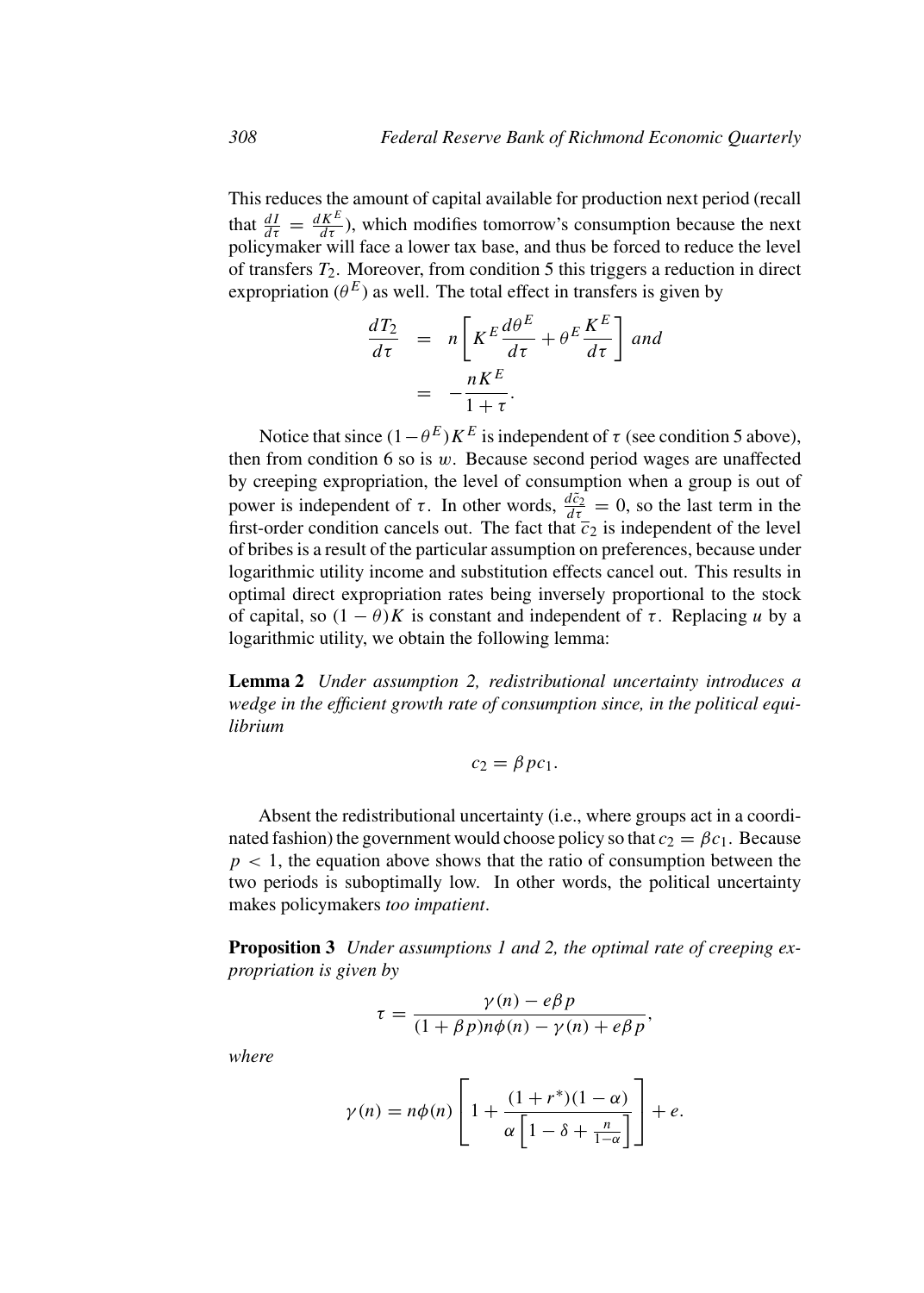This reduces the amount of capital available for production next period (recall that  $\frac{dI}{d\tau} = \frac{dK^E}{d\tau}$ , which modifies tomorrow's consumption because the next policymaker will face a lower tax base, and thus be forced to reduce the level of transfers  $T_2$ . Moreover, from condition 5 this triggers a reduction in direct expropriation ( $\theta^E$ ) as well. The total effect in transfers is given by

$$
\frac{dT_2}{d\tau} = n \left[ K^E \frac{d\theta^E}{d\tau} + \theta^E \frac{K^E}{d\tau} \right] \text{ and}
$$

$$
= -\frac{nK^E}{1+\tau}.
$$

Notice that since  $(1 - \theta^E) K^E$  is independent of  $\tau$  (see condition 5 above), then from condition 6 so is *w*. Because second period wages are unaffected by creeping expropriation, the level of consumption when a group is out of power is independent of *τ*. In other words,  $\frac{d\tilde{c}_2}{dt} = 0$ , so the last term in the first-order condition cancels out. The fact that  $\overline{c}_2$  is independent of the level of bribes is a result of the particular assumption on preferences, because under logarithmic utility income and substitution effects cancel out. This results in optimal direct expropriation rates being inversely proportional to the stock of capital, so  $(1 - \theta)K$  is constant and independent of  $\tau$ . Replacing *u* by a logarithmic utility, we obtain the following lemma:

**Lemma 2** *Under assumption 2, redistributional uncertainty introduces a wedge in the efficient growth rate of consumption since, in the political equilibrium*

$$
c_2 = \beta pc_1.
$$

Absent the redistributional uncertainty (i.e., where groups act in a coordinated fashion) the government would choose policy so that  $c_2 = \beta c_1$ . Because  $p < 1$ , the equation above shows that the ratio of consumption between the two periods is suboptimally low. In other words, the political uncertainty makes policymakers *too impatient*.

**Proposition 3** *Under assumptions 1 and 2, the optimal rate of creeping expropriation is given by*

$$
\tau = \frac{\gamma(n) - e\beta p}{(1 + \beta p)n\phi(n) - \gamma(n) + e\beta p},
$$

*where*

$$
\gamma(n) = n\phi(n) \left[ 1 + \frac{(1+r^*)(1-\alpha)}{\alpha \left[ 1 - \delta + \frac{n}{1-\alpha} \right]} \right] + e.
$$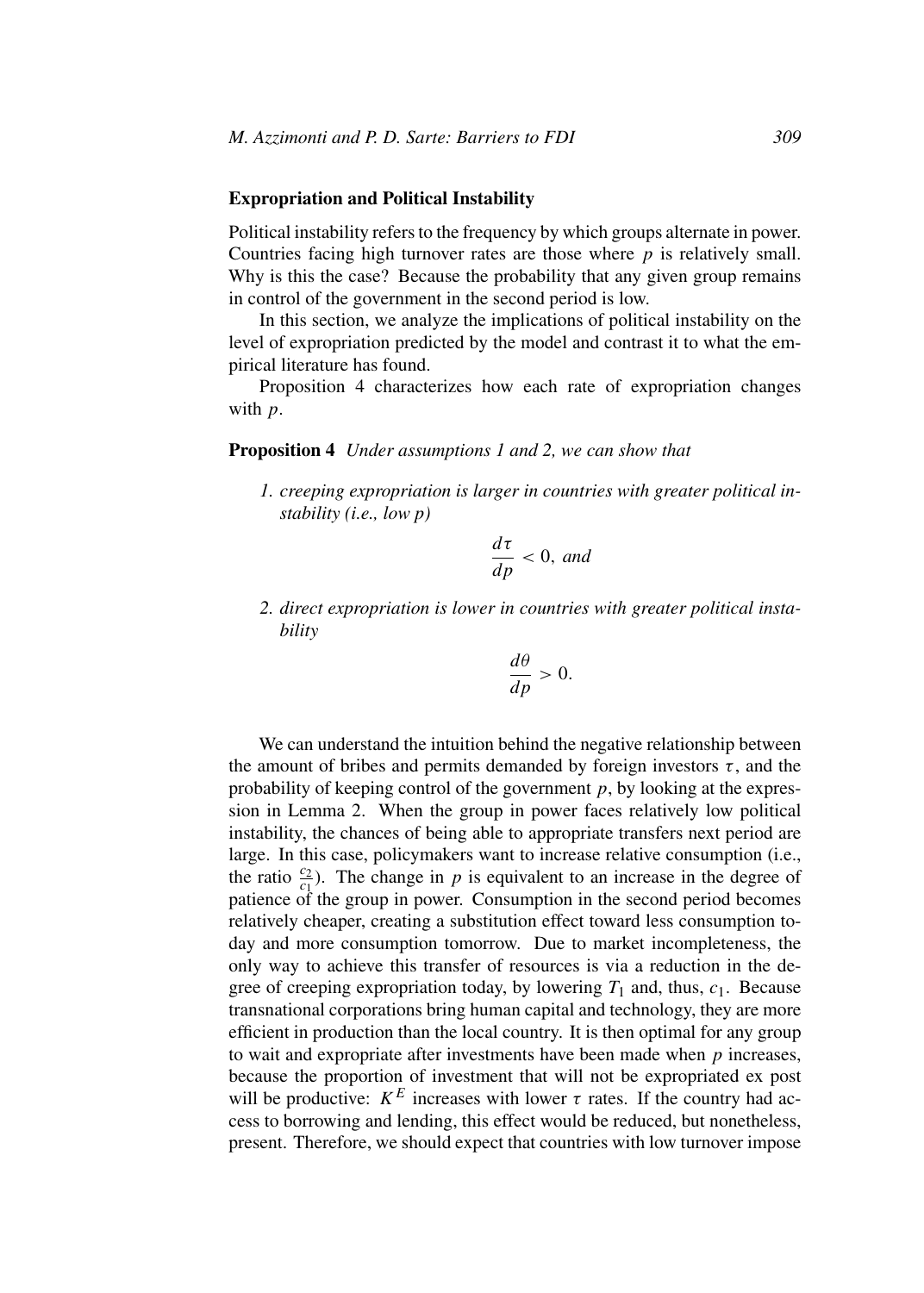## **Expropriation and Political Instability**

Political instability refers to the frequency by which groups alternate in power. Countries facing high turnover rates are those where *p* is relatively small. Why is this the case? Because the probability that any given group remains in control of the government in the second period is low.

In this section, we analyze the implications of political instability on the level of expropriation predicted by the model and contrast it to what the empirical literature has found.

Proposition 4 characterizes how each rate of expropriation changes with *p*.

### **Proposition 4** *Under assumptions 1 and 2, we can show that*

*1. creeping expropriation is larger in countries with greater political instability (i.e., low p)*

$$
\frac{d\tau}{dp} < 0, \text{ and}
$$

*2. direct expropriation is lower in countries with greater political instability*

$$
\frac{d\theta}{dp} > 0.
$$

We can understand the intuition behind the negative relationship between the amount of bribes and permits demanded by foreign investors  $\tau$ , and the probability of keeping control of the government *p*, by looking at the expression in Lemma 2. When the group in power faces relatively low political instability, the chances of being able to appropriate transfers next period are large. In this case, policymakers want to increase relative consumption (i.e., the ratio  $\frac{c_2}{c_1}$ ). The change in *p* is equivalent to an increase in the degree of patience of the group in power. Consumption in the second period becomes relatively cheaper, creating a substitution effect toward less consumption today and more consumption tomorrow. Due to market incompleteness, the only way to achieve this transfer of resources is via a reduction in the degree of creeping expropriation today, by lowering  $T_1$  and, thus,  $c_1$ . Because transnational corporations bring human capital and technology, they are more efficient in production than the local country. It is then optimal for any group to wait and expropriate after investments have been made when *p* increases, because the proportion of investment that will not be expropriated ex post will be productive:  $K^E$  increases with lower  $\tau$  rates. If the country had access to borrowing and lending, this effect would be reduced, but nonetheless, present. Therefore, we should expect that countries with low turnover impose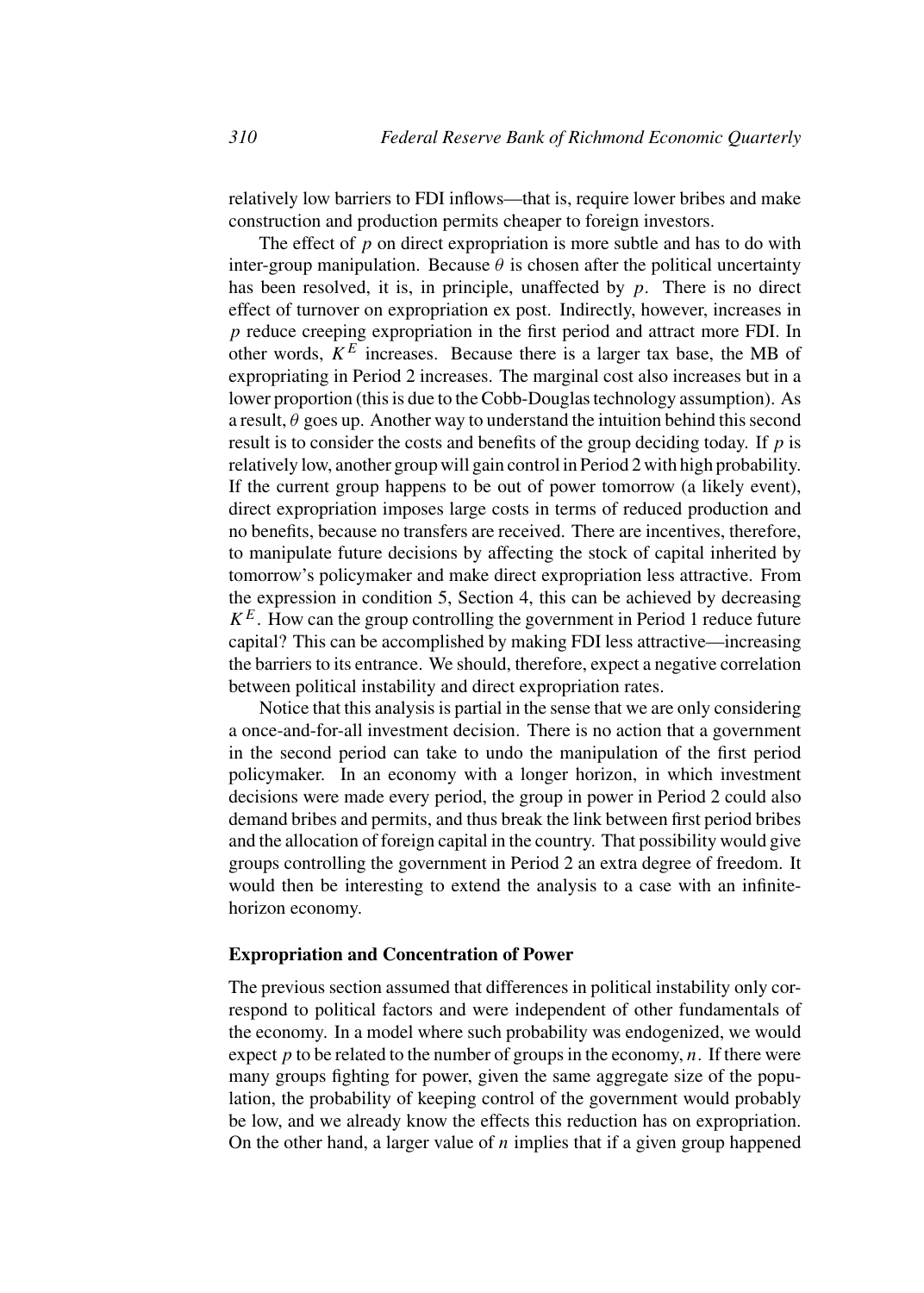relatively low barriers to FDI inflows—that is, require lower bribes and make construction and production permits cheaper to foreign investors.

The effect of *p* on direct expropriation is more subtle and has to do with inter-group manipulation. Because  $\theta$  is chosen after the political uncertainty has been resolved, it is, in principle, unaffected by *p*. There is no direct effect of turnover on expropriation ex post. Indirectly, however, increases in *p* reduce creeping expropriation in the first period and attract more FDI. In other words,  $K^E$  increases. Because there is a larger tax base, the MB of expropriating in Period 2 increases. The marginal cost also increases but in a lower proportion (this is due to the Cobb-Douglas technology assumption). As a result,  $\theta$  goes up. Another way to understand the intuition behind this second result is to consider the costs and benefits of the group deciding today. If *p* is relatively low, another group will gain control in Period 2 with high probability. If the current group happens to be out of power tomorrow (a likely event), direct expropriation imposes large costs in terms of reduced production and no benefits, because no transfers are received. There are incentives, therefore, to manipulate future decisions by affecting the stock of capital inherited by tomorrow's policymaker and make direct expropriation less attractive. From the expression in condition 5, Section 4, this can be achieved by decreasing  $K^E$ . How can the group controlling the government in Period 1 reduce future capital? This can be accomplished by making FDI less attractive—increasing the barriers to its entrance. We should, therefore, expect a negative correlation between political instability and direct expropriation rates.

Notice that this analysis is partial in the sense that we are only considering a once-and-for-all investment decision. There is no action that a government in the second period can take to undo the manipulation of the first period policymaker. In an economy with a longer horizon, in which investment decisions were made every period, the group in power in Period 2 could also demand bribes and permits, and thus break the link between first period bribes and the allocation of foreign capital in the country. That possibility would give groups controlling the government in Period 2 an extra degree of freedom. It would then be interesting to extend the analysis to a case with an infinitehorizon economy.

## **Expropriation and Concentration of Power**

The previous section assumed that differences in political instability only correspond to political factors and were independent of other fundamentals of the economy. In a model where such probability was endogenized, we would expect *p* to be related to the number of groups in the economy, *n*. If there were many groups fighting for power, given the same aggregate size of the population, the probability of keeping control of the government would probably be low, and we already know the effects this reduction has on expropriation. On the other hand, a larger value of *n* implies that if a given group happened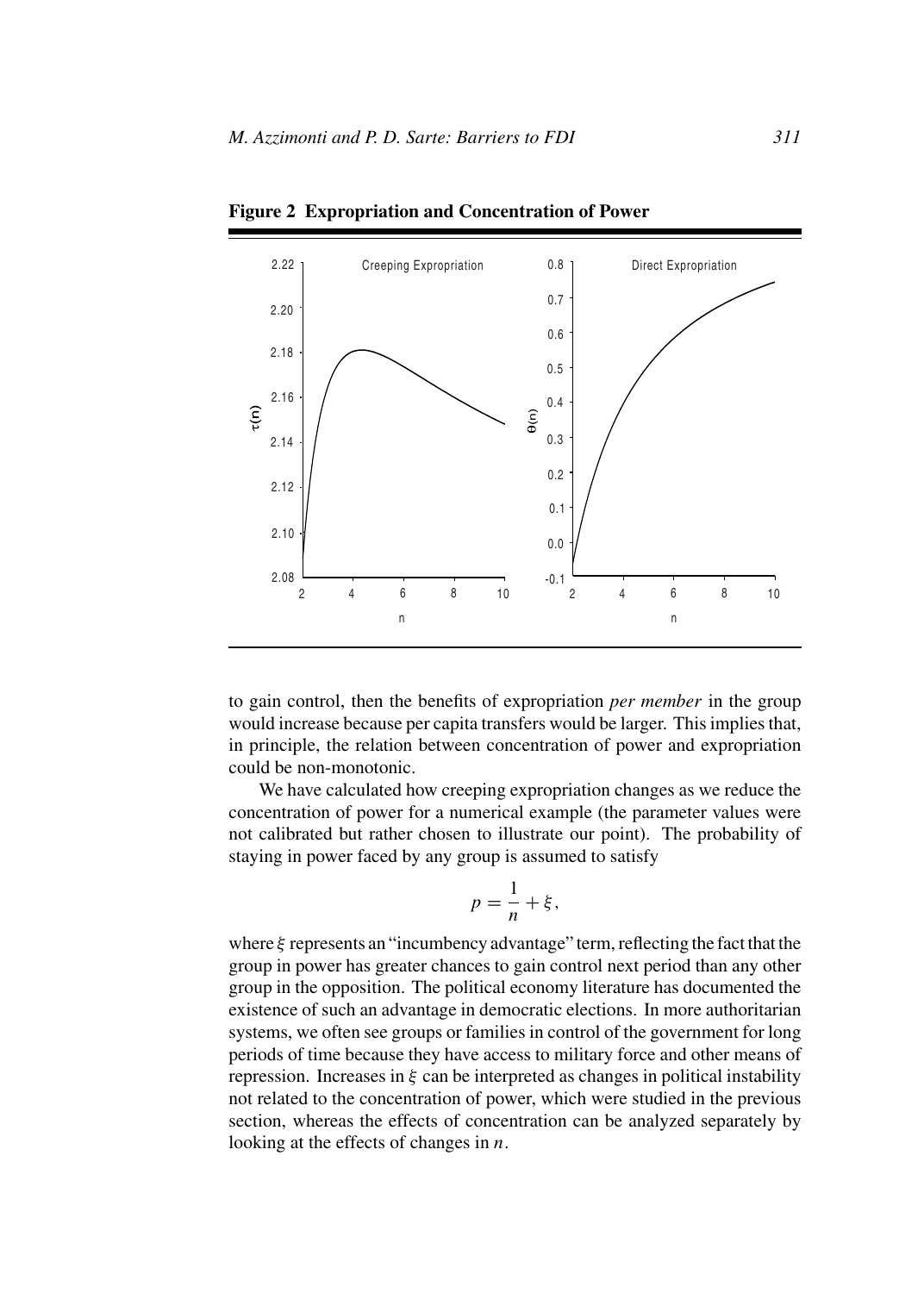

**Figure 2 Expropriation and Concentration of Power**

to gain control, then the benefits of expropriation *per member* in the group would increase because per capita transfers would be larger. This implies that, in principle, the relation between concentration of power and expropriation could be non-monotonic.

We have calculated how creeping expropriation changes as we reduce the concentration of power for a numerical example (the parameter values were not calibrated but rather chosen to illustrate our point). The probability of staying in power faced by any group is assumed to satisfy

$$
p = \frac{1}{n} + \xi,
$$

where *ξ* represents an "incumbency advantage" term, reflecting the fact that the group in power has greater chances to gain control next period than any other group in the opposition. The political economy literature has documented the existence of such an advantage in democratic elections. In more authoritarian systems, we often see groups or families in control of the government for long periods of time because they have access to military force and other means of repression. Increases in *ξ* can be interpreted as changes in political instability not related to the concentration of power, which were studied in the previous section, whereas the effects of concentration can be analyzed separately by looking at the effects of changes in *n*.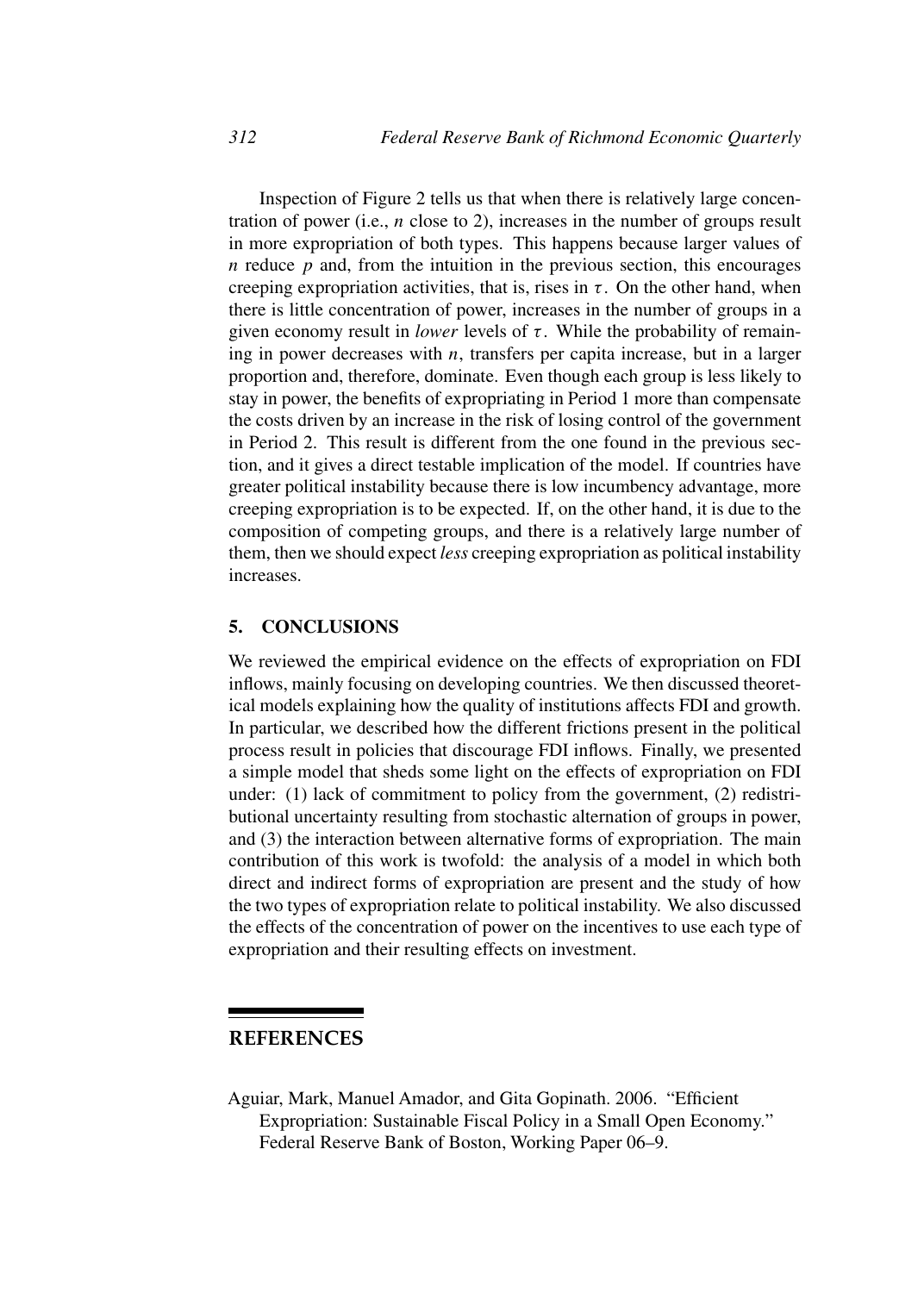Inspection of Figure 2 tells us that when there is relatively large concentration of power (i.e., *n* close to 2), increases in the number of groups result in more expropriation of both types. This happens because larger values of *n* reduce *p* and, from the intuition in the previous section, this encourages creeping expropriation activities, that is, rises in  $\tau$ . On the other hand, when there is little concentration of power, increases in the number of groups in a given economy result in *lower* levels of  $\tau$ . While the probability of remaining in power decreases with *n*, transfers per capita increase, but in a larger proportion and, therefore, dominate. Even though each group is less likely to stay in power, the benefits of expropriating in Period 1 more than compensate the costs driven by an increase in the risk of losing control of the government in Period 2. This result is different from the one found in the previous section, and it gives a direct testable implication of the model. If countries have greater political instability because there is low incumbency advantage, more creeping expropriation is to be expected. If, on the other hand, it is due to the composition of competing groups, and there is a relatively large number of them, then we should expect *less* creeping expropriation as political instability increases.

## **5. CONCLUSIONS**

We reviewed the empirical evidence on the effects of expropriation on FDI inflows, mainly focusing on developing countries. We then discussed theoretical models explaining how the quality of institutions affects FDI and growth. In particular, we described how the different frictions present in the political process result in policies that discourage FDI inflows. Finally, we presented a simple model that sheds some light on the effects of expropriation on FDI under: (1) lack of commitment to policy from the government, (2) redistributional uncertainty resulting from stochastic alternation of groups in power, and (3) the interaction between alternative forms of expropriation. The main contribution of this work is twofold: the analysis of a model in which both direct and indirect forms of expropriation are present and the study of how the two types of expropriation relate to political instability. We also discussed the effects of the concentration of power on the incentives to use each type of expropriation and their resulting effects on investment.

# **REFERENCES**

Aguiar, Mark, Manuel Amador, and Gita Gopinath. 2006. "Efficient Expropriation: Sustainable Fiscal Policy in a Small Open Economy." Federal Reserve Bank of Boston, Working Paper 06–9.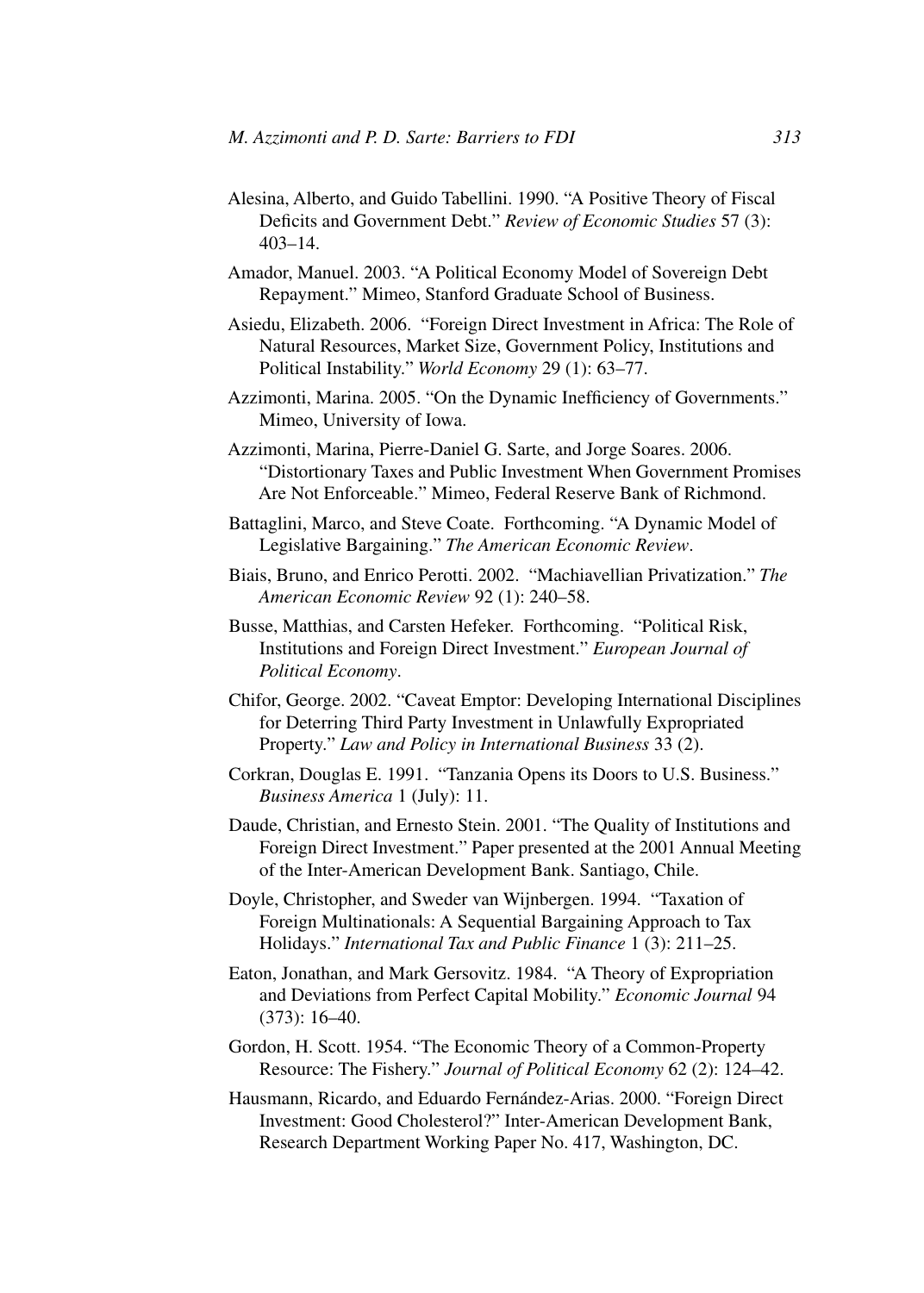- Alesina, Alberto, and Guido Tabellini. 1990. "A Positive Theory of Fiscal Deficits and Government Debt." *Review of Economic Studies* 57 (3): 403–14.
- Amador, Manuel. 2003. "A Political Economy Model of Sovereign Debt Repayment." Mimeo, Stanford Graduate School of Business.
- Asiedu, Elizabeth. 2006. "Foreign Direct Investment in Africa: The Role of Natural Resources, Market Size, Government Policy, Institutions and Political Instability." *World Economy* 29 (1): 63–77.
- Azzimonti, Marina. 2005. "On the Dynamic Inefficiency of Governments." Mimeo, University of Iowa.
- Azzimonti, Marina, Pierre-Daniel G. Sarte, and Jorge Soares. 2006. "Distortionary Taxes and Public Investment When Government Promises Are Not Enforceable." Mimeo, Federal Reserve Bank of Richmond.
- Battaglini, Marco, and Steve Coate. Forthcoming. "A Dynamic Model of Legislative Bargaining." *The American Economic Review*.
- Biais, Bruno, and Enrico Perotti. 2002. "Machiavellian Privatization." *The American Economic Review* 92 (1): 240–58.
- Busse, Matthias, and Carsten Hefeker. Forthcoming. "Political Risk, Institutions and Foreign Direct Investment." *European Journal of Political Economy*.
- Chifor, George. 2002. "Caveat Emptor: Developing International Disciplines for Deterring Third Party Investment in Unlawfully Expropriated Property." *Law and Policy in International Business* 33 (2).
- Corkran, Douglas E. 1991. "Tanzania Opens its Doors to U.S. Business." *Business America* 1 (July): 11.
- Daude, Christian, and Ernesto Stein. 2001. "The Quality of Institutions and Foreign Direct Investment." Paper presented at the 2001 Annual Meeting of the Inter-American Development Bank. Santiago, Chile.
- Doyle, Christopher, and Sweder van Wijnbergen. 1994. "Taxation of Foreign Multinationals: A Sequential Bargaining Approach to Tax Holidays." *International Tax and Public Finance* 1 (3): 211–25.
- Eaton, Jonathan, and Mark Gersovitz. 1984. "A Theory of Expropriation and Deviations from Perfect Capital Mobility." *Economic Journal* 94 (373): 16–40.
- Gordon, H. Scott. 1954. "The Economic Theory of a Common-Property Resource: The Fishery." *Journal of Political Economy* 62 (2): 124–42.
- Hausmann, Ricardo, and Eduardo Fernández-Arias. 2000. "Foreign Direct Investment: Good Cholesterol?" Inter-American Development Bank, Research Department Working Paper No. 417, Washington, DC.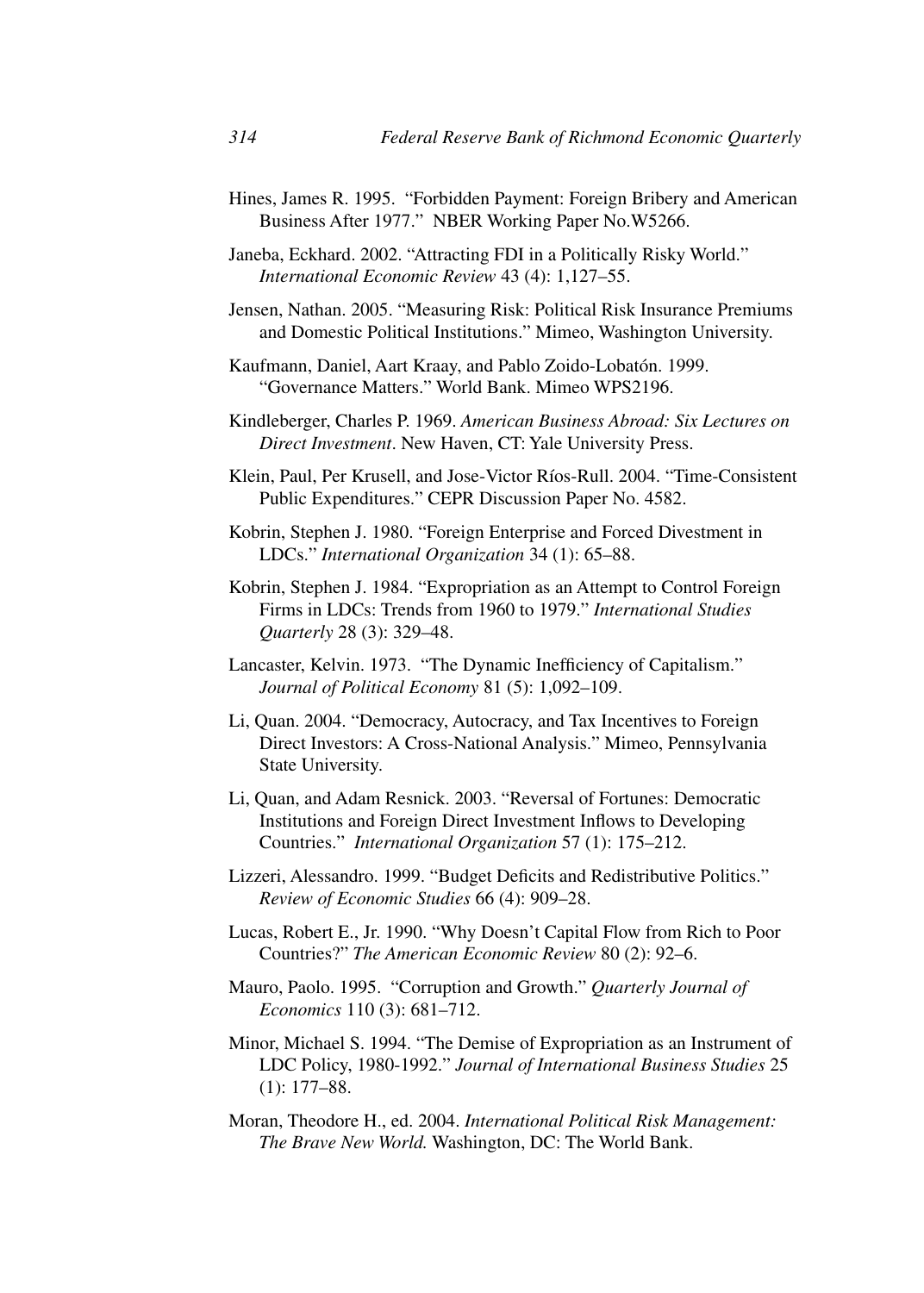- Hines, James R. 1995. "Forbidden Payment: Foreign Bribery and American Business After 1977." NBER Working Paper No.W5266.
- Janeba, Eckhard. 2002. "Attracting FDI in a Politically Risky World." *International Economic Review* 43 (4): 1,127–55.
- Jensen, Nathan. 2005. "Measuring Risk: Political Risk Insurance Premiums and Domestic Political Institutions." Mimeo, Washington University.
- Kaufmann, Daniel, Aart Kraay, and Pablo Zoido-Lobatón. 1999. "Governance Matters." World Bank. Mimeo WPS2196.
- Kindleberger, Charles P. 1969. *American Business Abroad: Six Lectures on Direct Investment*. New Haven, CT: Yale University Press.
- Klein, Paul, Per Krusell, and Jose-Victor Ríos-Rull. 2004. "Time-Consistent Public Expenditures." CEPR Discussion Paper No. 4582.
- Kobrin, Stephen J. 1980. "Foreign Enterprise and Forced Divestment in LDCs." *International Organization* 34 (1): 65–88.
- Kobrin, Stephen J. 1984. "Expropriation as an Attempt to Control Foreign Firms in LDCs: Trends from 1960 to 1979." *International Studies Quarterly* 28 (3): 329–48.
- Lancaster, Kelvin. 1973. "The Dynamic Inefficiency of Capitalism." *Journal of Political Economy* 81 (5): 1,092–109.
- Li, Quan. 2004. "Democracy, Autocracy, and Tax Incentives to Foreign Direct Investors: A Cross-National Analysis." Mimeo, Pennsylvania State University.
- Li, Quan, and Adam Resnick. 2003. "Reversal of Fortunes: Democratic Institutions and Foreign Direct Investment Inflows to Developing Countries." *International Organization* 57 (1): 175–212.
- Lizzeri, Alessandro. 1999. "Budget Deficits and Redistributive Politics." *Review of Economic Studies* 66 (4): 909–28.
- Lucas, Robert E., Jr. 1990. "Why Doesn't Capital Flow from Rich to Poor Countries?" *The American Economic Review* 80 (2): 92–6.
- Mauro, Paolo. 1995. "Corruption and Growth." *Quarterly Journal of Economics* 110 (3): 681–712.
- Minor, Michael S. 1994. "The Demise of Expropriation as an Instrument of LDC Policy, 1980-1992." *Journal of International Business Studies* 25 (1): 177–88.
- Moran, Theodore H., ed. 2004. *International Political Risk Management: The Brave New World.* Washington, DC: The World Bank.